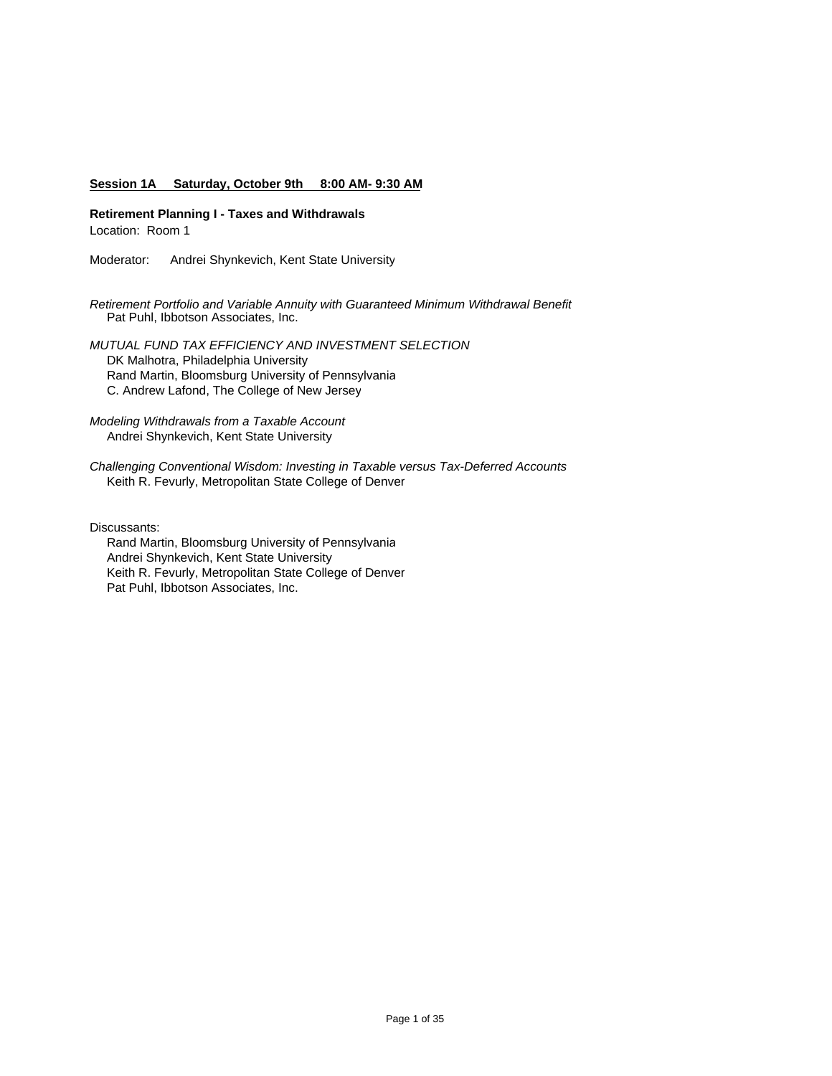### **Session 1A Saturday, October 9th 8:00 AM- 9:30 AM**

**Retirement Planning I - Taxes and Withdrawals** Location: Room 1

Moderator: Andrei Shynkevich, Kent State University

*Retirement Portfolio and Variable Annuity with Guaranteed Minimum Withdrawal Benefit* Pat Puhl, Ibbotson Associates, Inc.

*MUTUAL FUND TAX EFFICIENCY AND INVESTMENT SELECTION* DK Malhotra, Philadelphia University Rand Martin, Bloomsburg University of Pennsylvania C. Andrew Lafond, The College of New Jersey

*Modeling Withdrawals from a Taxable Account* Andrei Shynkevich, Kent State University

*Challenging Conventional Wisdom: Investing in Taxable versus Tax-Deferred Accounts*  Keith R. Fevurly, Metropolitan State College of Denver

Discussants:

 Rand Martin, Bloomsburg University of Pennsylvania Andrei Shynkevich, Kent State University Keith R. Fevurly, Metropolitan State College of Denver Pat Puhl, Ibbotson Associates, Inc.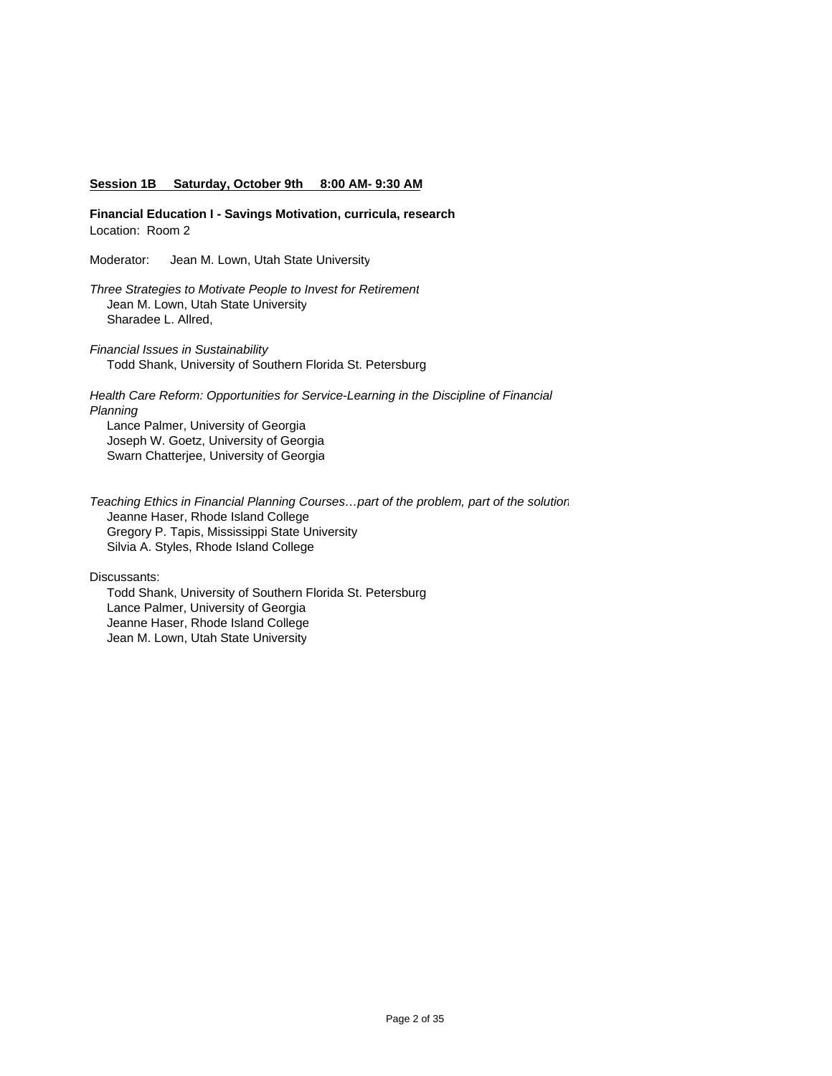#### **Session 1B Saturday, October 9th 8:00 AM- 9:30 AM**

**Financial Education I - Savings Motivation, curricula, research** Location: Room 2

Moderator: Jean M. Lown, Utah State University

*Three Strategies to Motivate People to Invest for Retirement* Jean M. Lown, Utah State University Sharadee L. Allred,

*Financial Issues in Sustainability* Todd Shank, University of Southern Florida St. Petersburg

*Health Care Reform: Opportunities for Service-Learning in the Discipline of Financial Planning* Lance Palmer, University of Georgia

 Joseph W. Goetz, University of Georgia Swarn Chatterjee, University of Georgia

*Teaching Ethics in Financial Planning Courses…part of the problem, part of the solution* Jeanne Haser, Rhode Island College Gregory P. Tapis, Mississippi State University Silvia A. Styles, Rhode Island College

Discussants:

 Todd Shank, University of Southern Florida St. Petersburg Lance Palmer, University of Georgia Jeanne Haser, Rhode Island College Jean M. Lown, Utah State University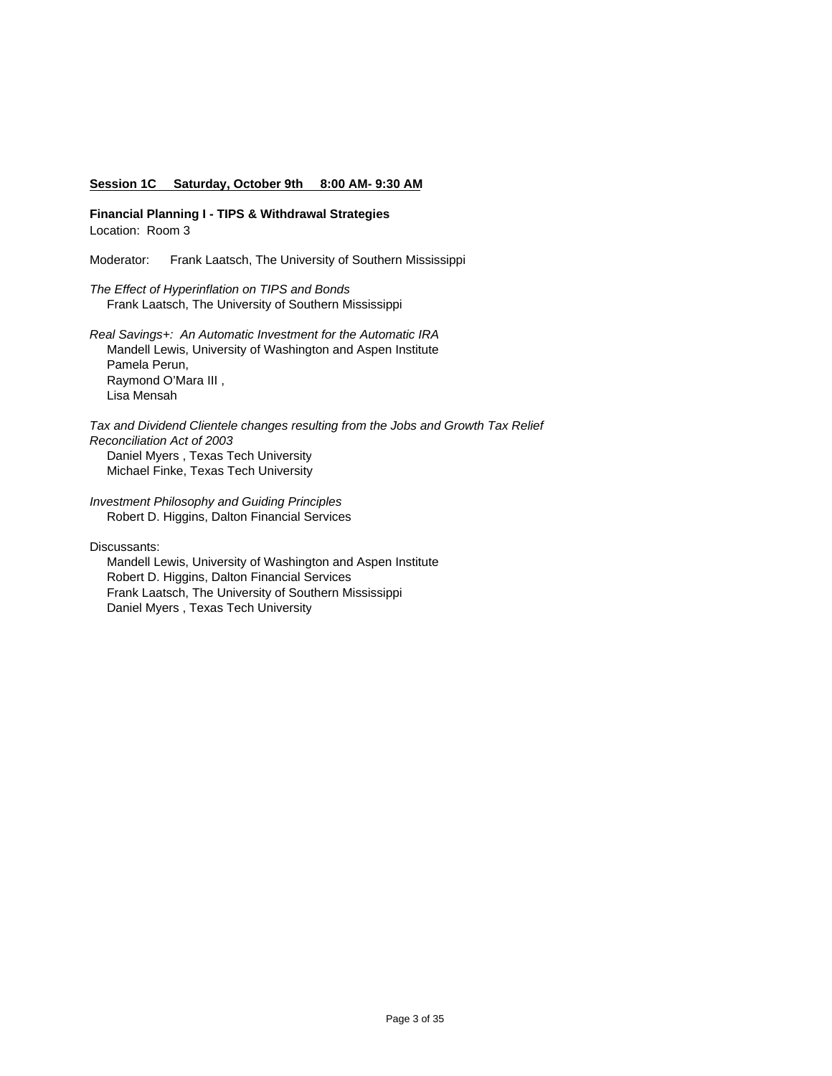#### **Session 1C Saturday, October 9th 8:00 AM- 9:30 AM**

**Financial Planning I - TIPS & Withdrawal Strategies** Location: Room 3

Moderator: Frank Laatsch, The University of Southern Mississippi

*The Effect of Hyperinflation on TIPS and Bonds* Frank Laatsch, The University of Southern Mississippi

*Real Savings+: An Automatic Investment for the Automatic IRA* Mandell Lewis, University of Washington and Aspen Institute Pamela Perun, Raymond O'Mara III , Lisa Mensah

*Tax and Dividend Clientele changes resulting from the Jobs and Growth Tax Relief Reconciliation Act of 2003* Daniel Myers , Texas Tech University Michael Finke, Texas Tech University

*Investment Philosophy and Guiding Principles* Robert D. Higgins, Dalton Financial Services

Discussants:

 Mandell Lewis, University of Washington and Aspen Institute Robert D. Higgins, Dalton Financial Services Frank Laatsch, The University of Southern Mississippi Daniel Myers , Texas Tech University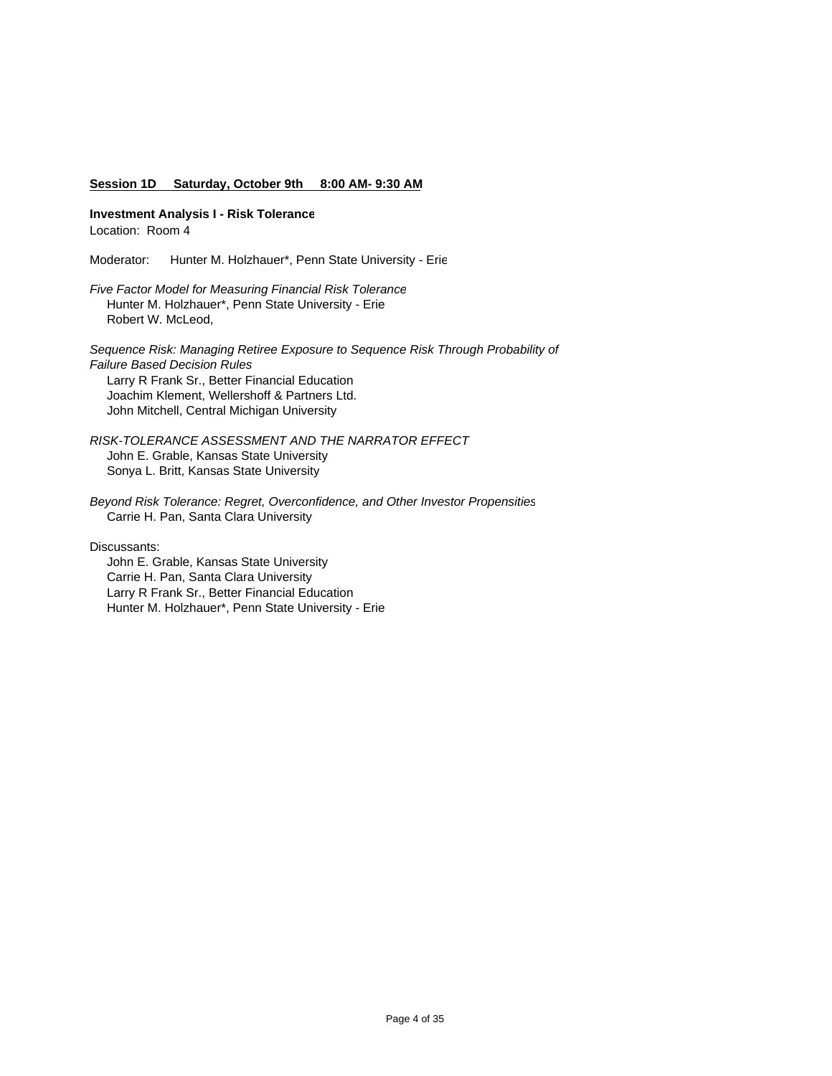### **Session 1D Saturday, October 9th 8:00 AM- 9:30 AM**

**Investment Analysis I - Risk Tolerance**

Location: Room 4

Moderator: Hunter M. Holzhauer\*, Penn State University - Erie

*Five Factor Model for Measuring Financial Risk Tolerance* Hunter M. Holzhauer\*, Penn State University - Erie Robert W. McLeod,

*Sequence Risk: Managing Retiree Exposure to Sequence Risk Through Probability of Failure Based Decision Rules* Larry R Frank Sr., Better Financial Education Joachim Klement, Wellershoff & Partners Ltd. John Mitchell, Central Michigan University

*RISK-TOLERANCE ASSESSMENT AND THE NARRATOR EFFECT*  John E. Grable, Kansas State University Sonya L. Britt, Kansas State University

*Beyond Risk Tolerance: Regret, Overconfidence, and Other Investor Propensities* Carrie H. Pan, Santa Clara University

Discussants:

 John E. Grable, Kansas State University Carrie H. Pan, Santa Clara University Larry R Frank Sr., Better Financial Education Hunter M. Holzhauer\*, Penn State University - Erie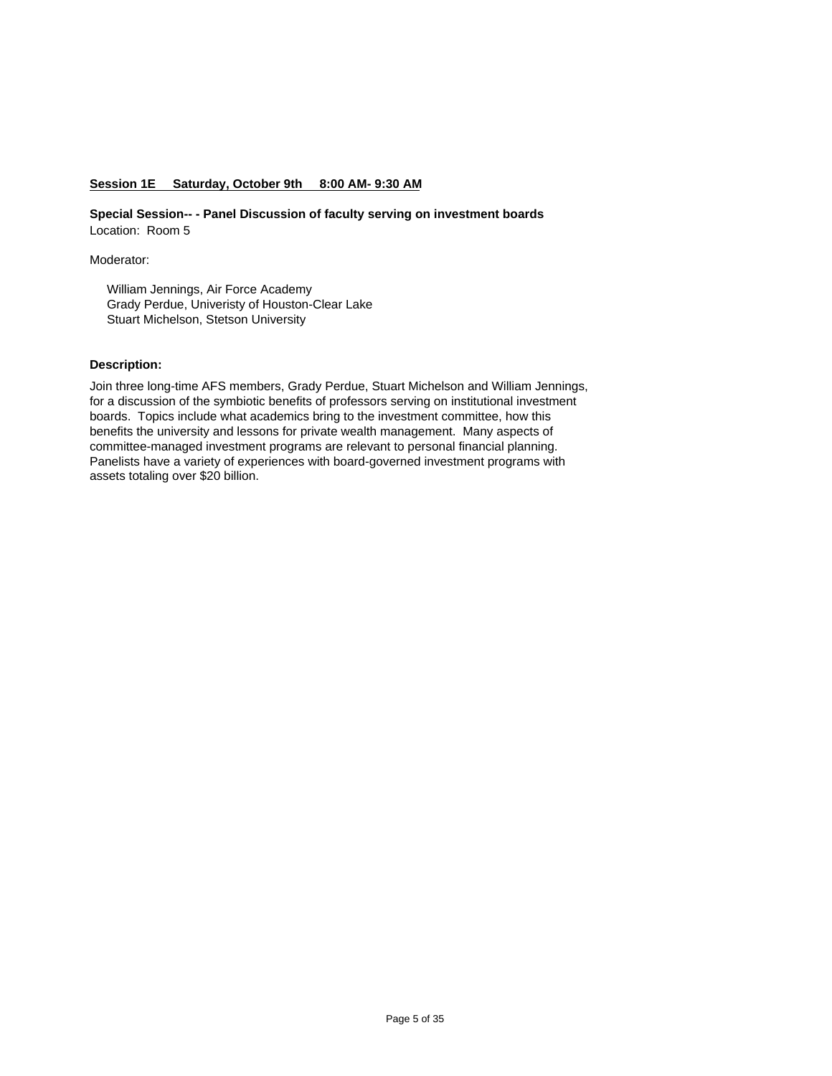### **Session 1E Saturday, October 9th 8:00 AM- 9:30 AM**

**Special Session-- - Panel Discussion of faculty serving on investment boards** Location: Room 5

Moderator:

 William Jennings, Air Force Academy Grady Perdue, Univeristy of Houston-Clear Lake Stuart Michelson, Stetson University

#### **Description:**

Join three long-time AFS members, Grady Perdue, Stuart Michelson and William Jennings, for a discussion of the symbiotic benefits of professors serving on institutional investment boards. Topics include what academics bring to the investment committee, how this benefits the university and lessons for private wealth management. Many aspects of committee-managed investment programs are relevant to personal financial planning. Panelists have a variety of experiences with board-governed investment programs with assets totaling over \$20 billion.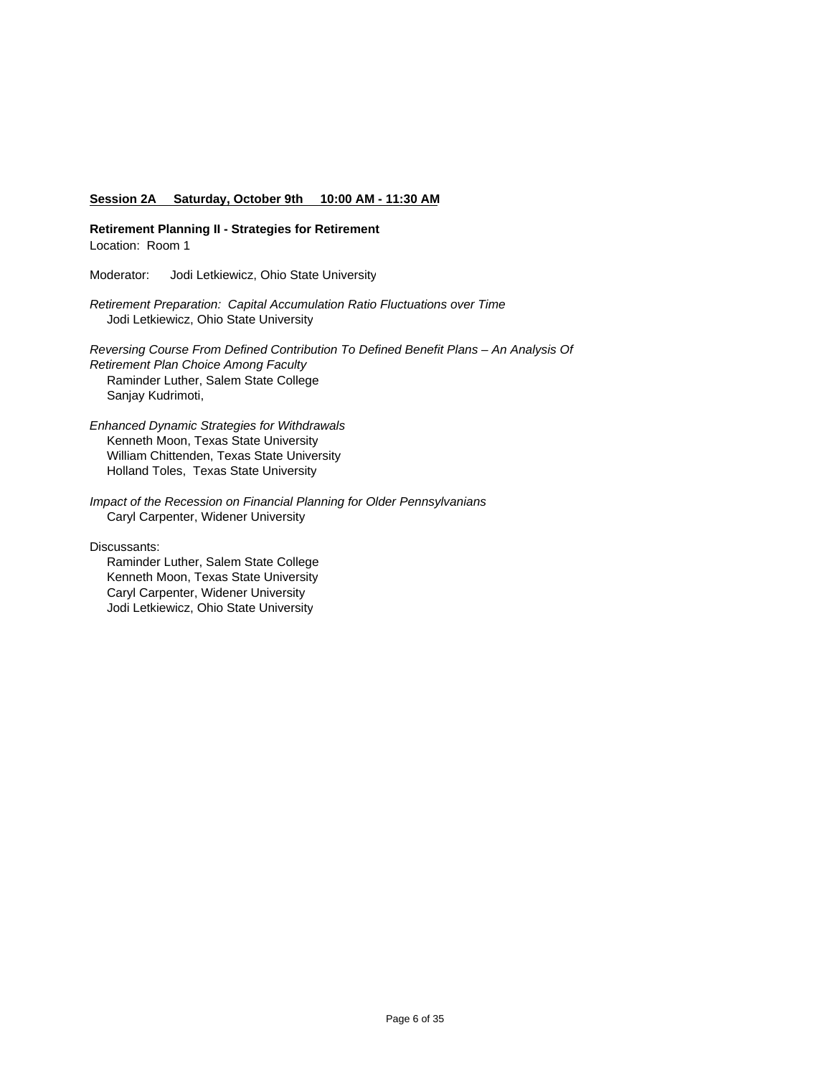#### **Session 2A Saturday, October 9th 10:00 AM - 11:30 AM**

**Retirement Planning II - Strategies for Retirement** Location: Room 1

Moderator: Jodi Letkiewicz, Ohio State University

*Retirement Preparation: Capital Accumulation Ratio Fluctuations over Time* Jodi Letkiewicz, Ohio State University

*Reversing Course From Defined Contribution To Defined Benefit Plans – An Analysis Of Retirement Plan Choice Among Faculty* Raminder Luther, Salem State College Sanjay Kudrimoti,

*Enhanced Dynamic Strategies for Withdrawals* Kenneth Moon, Texas State University William Chittenden, Texas State University Holland Toles, Texas State University

*Impact of the Recession on Financial Planning for Older Pennsylvanians* Caryl Carpenter, Widener University

Discussants:

 Raminder Luther, Salem State College Kenneth Moon, Texas State University Caryl Carpenter, Widener University Jodi Letkiewicz, Ohio State University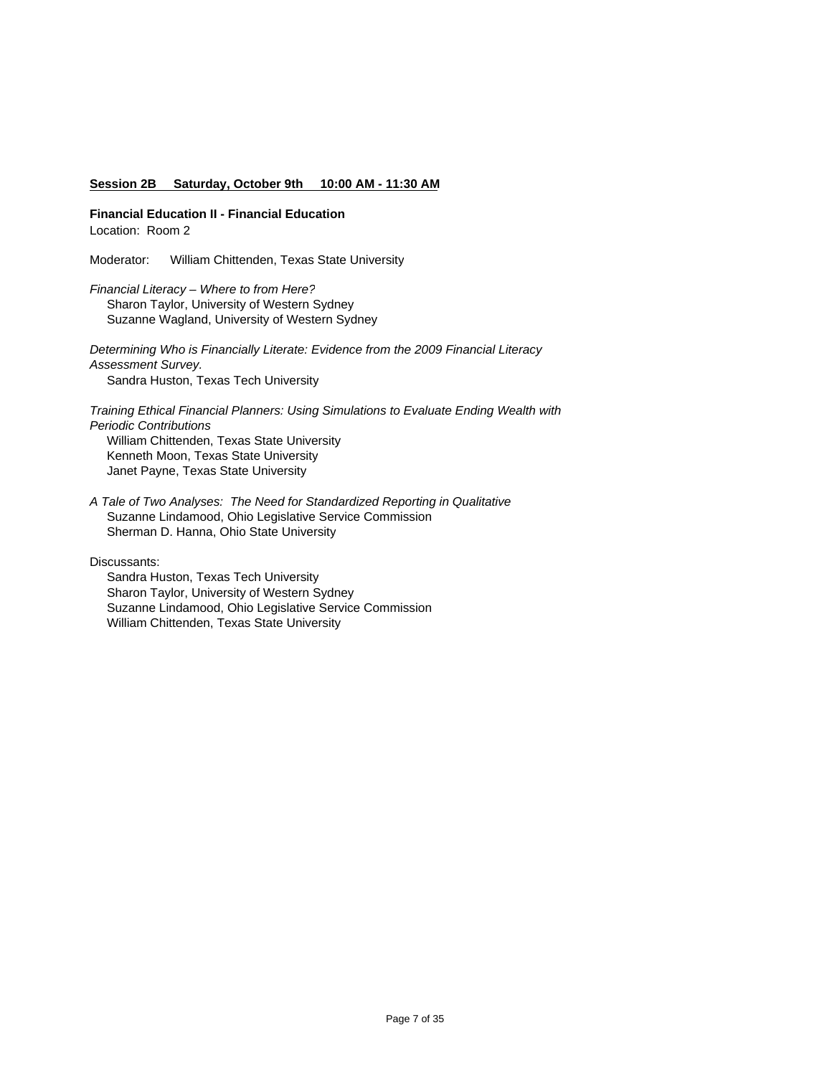#### **Session 2B Saturday, October 9th 10:00 AM - 11:30 AM**

**Financial Education II - Financial Education** Location: Room 2

Moderator: William Chittenden, Texas State University

*Financial Literacy – Where to from Here?* Sharon Taylor, University of Western Sydney Suzanne Wagland, University of Western Sydney

*Determining Who is Financially Literate: Evidence from the 2009 Financial Literacy Assessment Survey.* Sandra Huston, Texas Tech University

*Training Ethical Financial Planners: Using Simulations to Evaluate Ending Wealth with Periodic Contributions* William Chittenden, Texas State University Kenneth Moon, Texas State University Janet Payne, Texas State University

*A Tale of Two Analyses: The Need for Standardized Reporting in Qualitative*  Suzanne Lindamood, Ohio Legislative Service Commission Sherman D. Hanna, Ohio State University

Discussants:

 Sandra Huston, Texas Tech University Sharon Taylor, University of Western Sydney Suzanne Lindamood, Ohio Legislative Service Commission William Chittenden, Texas State University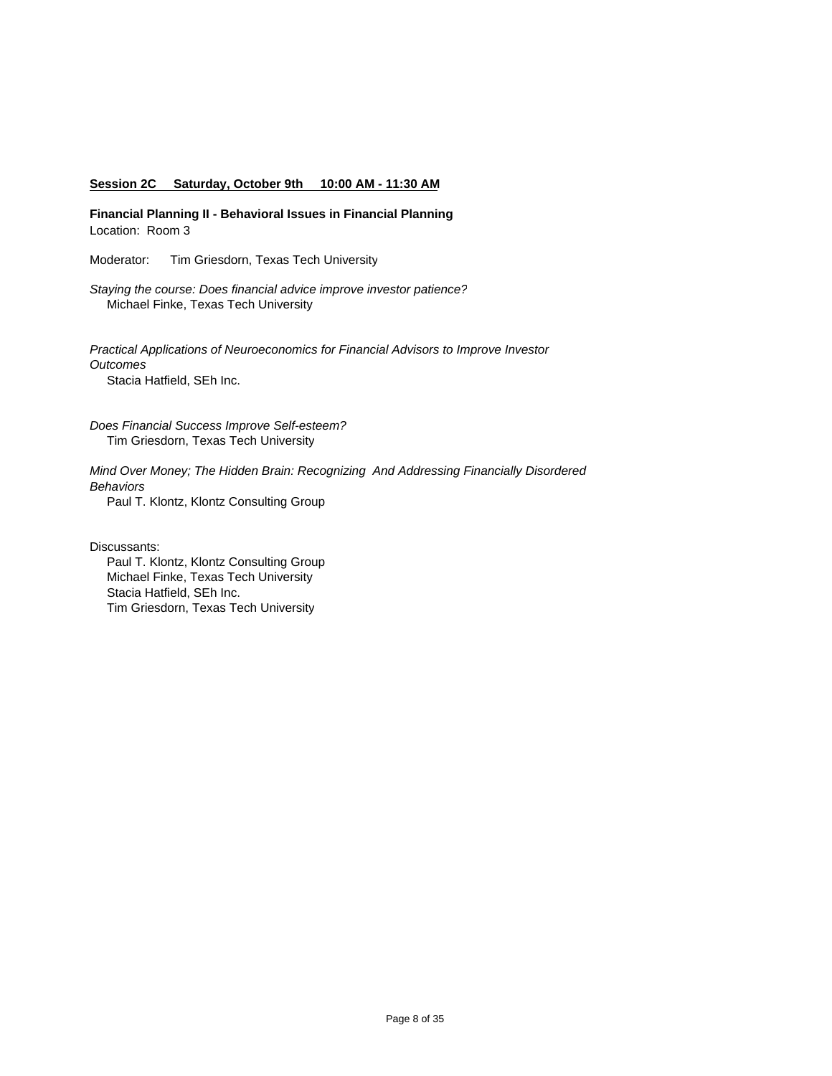#### **Session 2C Saturday, October 9th 10:00 AM - 11:30 AM**

**Financial Planning II - Behavioral Issues in Financial Planning** Location: Room 3

Moderator: Tim Griesdorn, Texas Tech University

*Staying the course: Does financial advice improve investor patience?* Michael Finke, Texas Tech University

*Practical Applications of Neuroeconomics for Financial Advisors to Improve Investor Outcomes* Stacia Hatfield, SEh Inc.

*Does Financial Success Improve Self-esteem?* Tim Griesdorn, Texas Tech University

*Mind Over Money; The Hidden Brain: Recognizing And Addressing Financially Disordered Behaviors* 

Paul T. Klontz, Klontz Consulting Group

Discussants:

 Paul T. Klontz, Klontz Consulting Group Michael Finke, Texas Tech University Stacia Hatfield, SEh Inc. Tim Griesdorn, Texas Tech University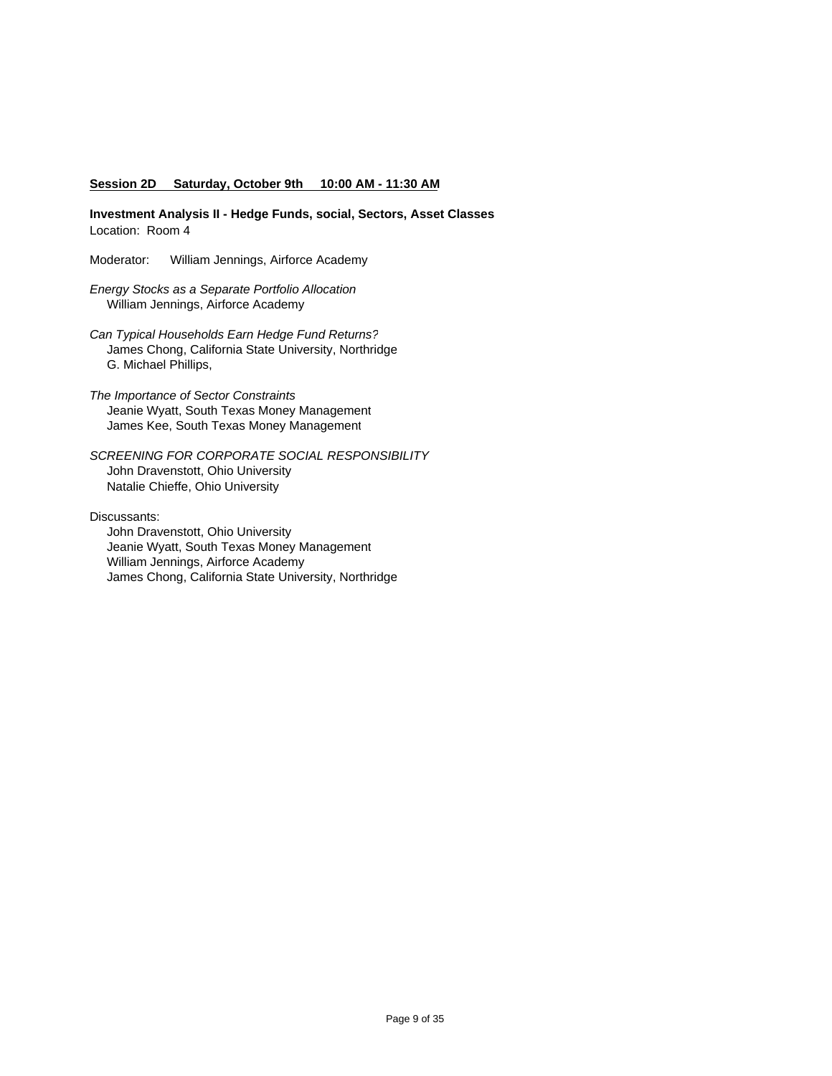#### **Session 2D Saturday, October 9th 10:00 AM - 11:30 AM**

**Investment Analysis II - Hedge Funds, social, Sectors, Asset Classes** Location: Room 4

Moderator: William Jennings, Airforce Academy

*Energy Stocks as a Separate Portfolio Allocation* William Jennings, Airforce Academy

- *Can Typical Households Earn Hedge Fund Returns?* James Chong, California State University, Northridge G. Michael Phillips,
- *The Importance of Sector Constraints* Jeanie Wyatt, South Texas Money Management James Kee, South Texas Money Management

*SCREENING FOR CORPORATE SOCIAL RESPONSIBILITY* John Dravenstott, Ohio University Natalie Chieffe, Ohio University

Discussants:

 John Dravenstott, Ohio University Jeanie Wyatt, South Texas Money Management William Jennings, Airforce Academy James Chong, California State University, Northridge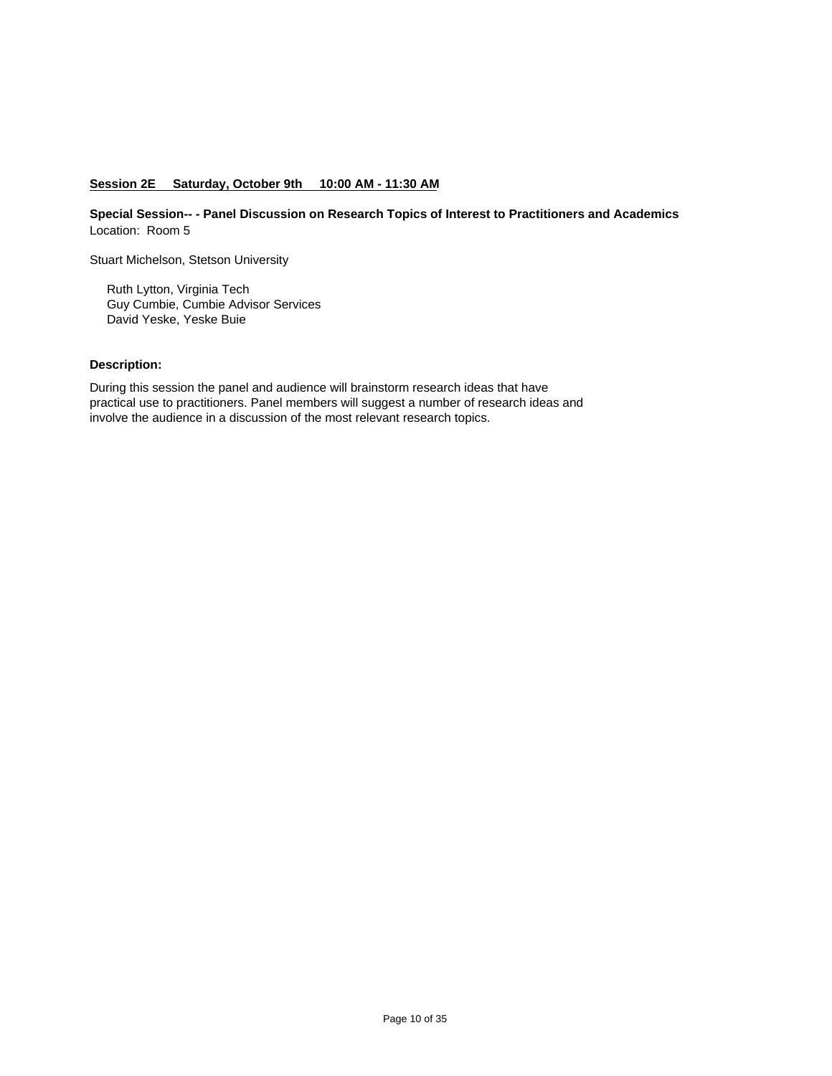# **Session 2E Saturday, October 9th 10:00 AM - 11:30 AM**

**Special Session-- - Panel Discussion on Research Topics of Interest to Practitioners and Academics** Location: Room 5

Stuart Michelson, Stetson University

 Ruth Lytton, Virginia Tech Guy Cumbie, Cumbie Advisor Services David Yeske, Yeske Buie

# **Description:**

During this session the panel and audience will brainstorm research ideas that have practical use to practitioners. Panel members will suggest a number of research ideas and involve the audience in a discussion of the most relevant research topics.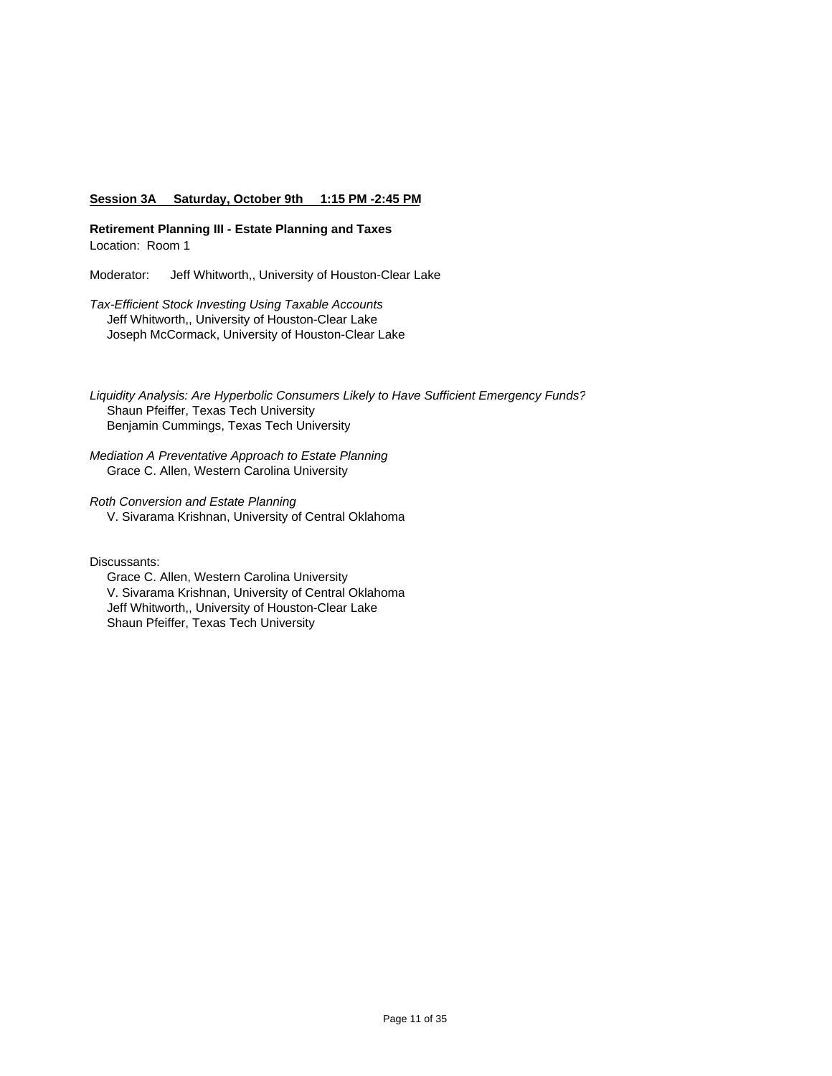### **Session 3A Saturday, October 9th 1:15 PM -2:45 PM**

**Retirement Planning III - Estate Planning and Taxes** Location: Room 1

Moderator: Jeff Whitworth,, University of Houston-Clear Lake

*Tax-Efficient Stock Investing Using Taxable Accounts* Jeff Whitworth,, University of Houston-Clear Lake Joseph McCormack, University of Houston-Clear Lake

*Liquidity Analysis: Are Hyperbolic Consumers Likely to Have Sufficient Emergency Funds?* Shaun Pfeiffer, Texas Tech University Benjamin Cummings, Texas Tech University

*Mediation A Preventative Approach to Estate Planning* Grace C. Allen, Western Carolina University

*Roth Conversion and Estate Planning*

V. Sivarama Krishnan, University of Central Oklahoma

Discussants:

 Grace C. Allen, Western Carolina University V. Sivarama Krishnan, University of Central Oklahoma Jeff Whitworth,, University of Houston-Clear Lake Shaun Pfeiffer, Texas Tech University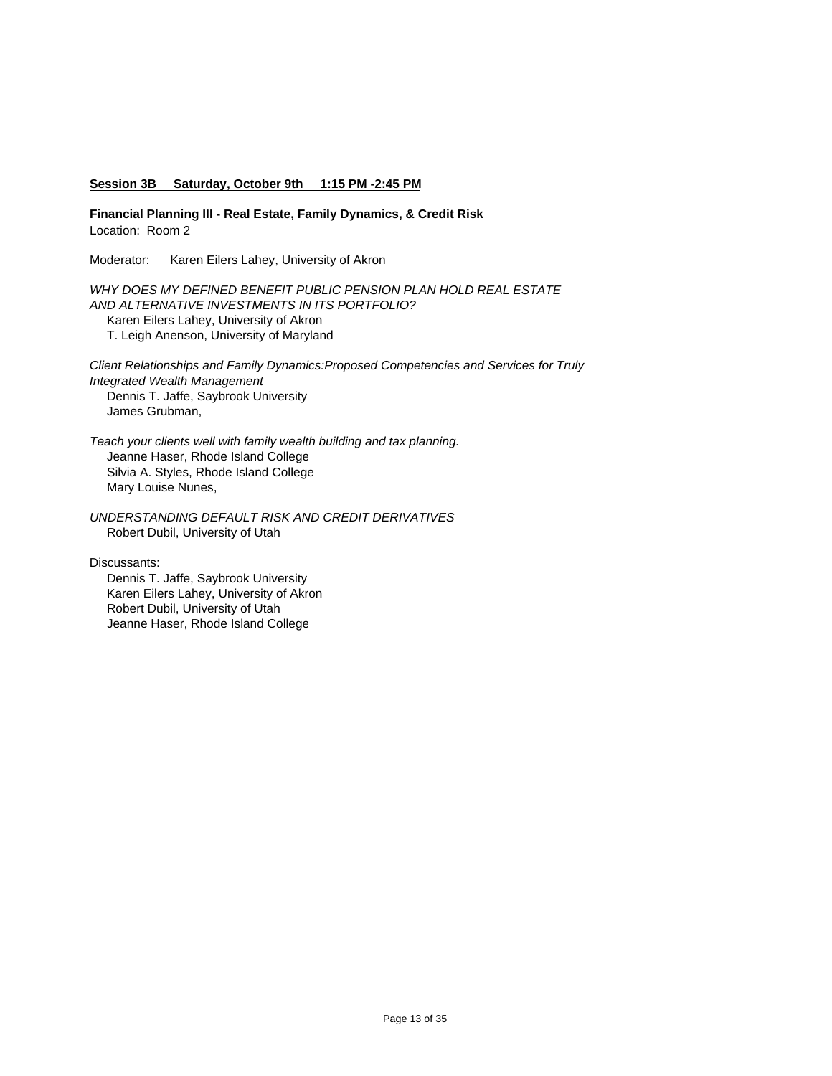### **Session 3B Saturday, October 9th 1:15 PM -2:45 PM**

**Financial Planning III - Real Estate, Family Dynamics, & Credit Risk** Location: Room 2

Moderator: Karen Eilers Lahey, University of Akron

*WHY DOES MY DEFINED BENEFIT PUBLIC PENSION PLAN HOLD REAL ESTATE AND ALTERNATIVE INVESTMENTS IN ITS PORTFOLIO?*  Karen Eilers Lahey, University of Akron

T. Leigh Anenson, University of Maryland

*Client Relationships and Family Dynamics:Proposed Competencies and Services for Truly Integrated Wealth Management* Dennis T. Jaffe, Saybrook University James Grubman,

*Teach your clients well with family wealth building and tax planning.*  Jeanne Haser, Rhode Island College Silvia A. Styles, Rhode Island College Mary Louise Nunes,

*UNDERSTANDING DEFAULT RISK AND CREDIT DERIVATIVES* Robert Dubil, University of Utah

Discussants:

 Dennis T. Jaffe, Saybrook University Karen Eilers Lahey, University of Akron Robert Dubil, University of Utah Jeanne Haser, Rhode Island College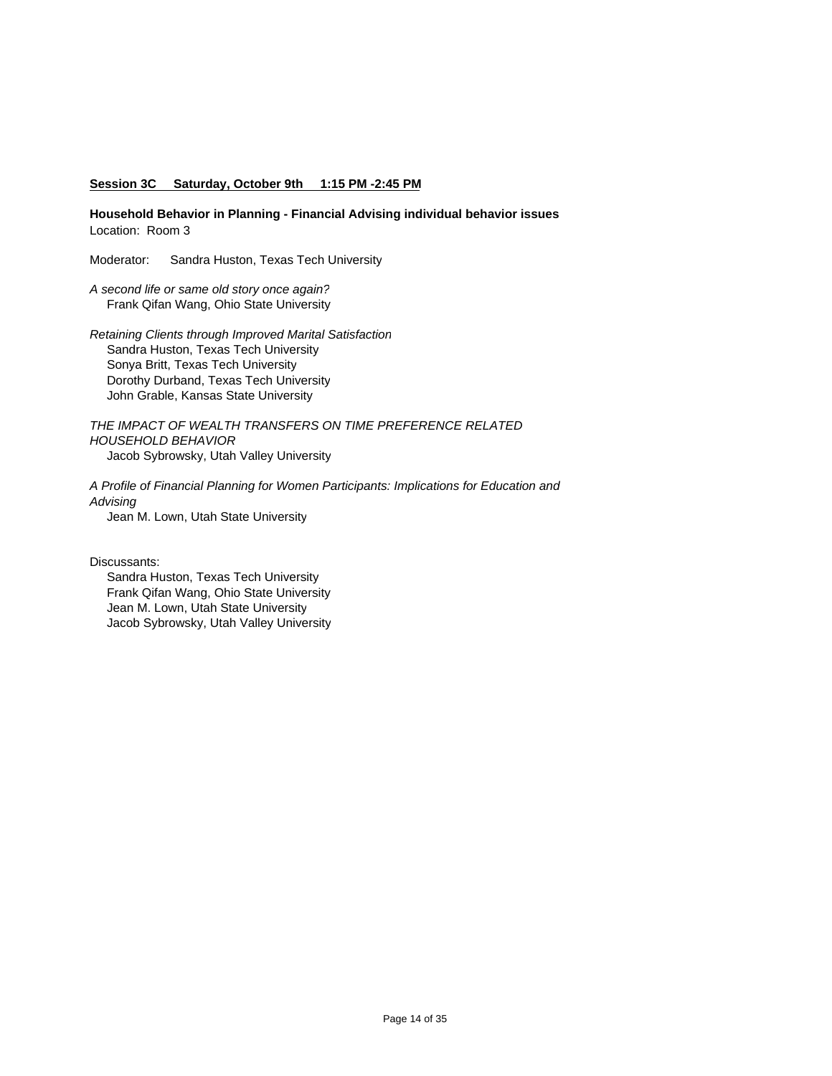#### **Session 3C Saturday, October 9th 1:15 PM -2:45 PM**

**Household Behavior in Planning - Financial Advising individual behavior issues** Location: Room 3

Moderator: Sandra Huston, Texas Tech University

*A second life or same old story once again?* Frank Qifan Wang, Ohio State University

*Retaining Clients through Improved Marital Satisfaction* Sandra Huston, Texas Tech University Sonya Britt, Texas Tech University Dorothy Durband, Texas Tech University John Grable, Kansas State University

*THE IMPACT OF WEALTH TRANSFERS ON TIME PREFERENCE RELATED HOUSEHOLD BEHAVIOR* Jacob Sybrowsky, Utah Valley University

*A Profile of Financial Planning for Women Participants: Implications for Education and Advising* Jean M. Lown, Utah State University

Discussants:

 Sandra Huston, Texas Tech University Frank Qifan Wang, Ohio State University Jean M. Lown, Utah State University Jacob Sybrowsky, Utah Valley University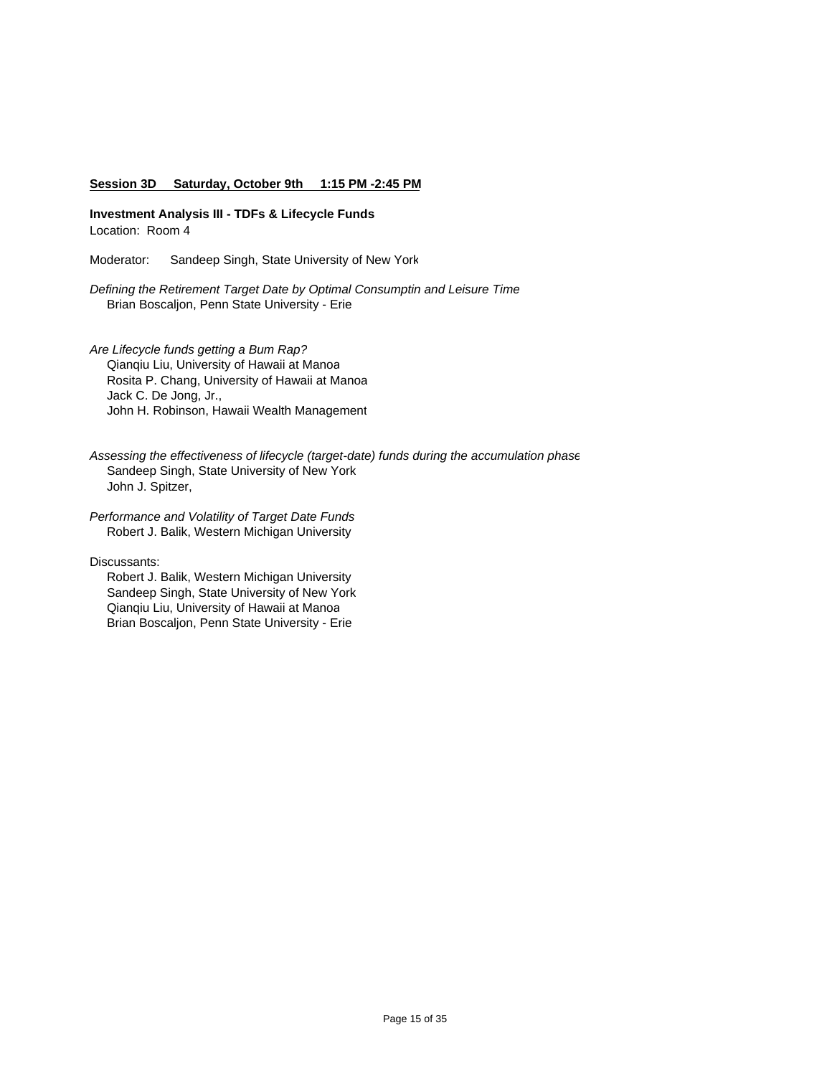#### **Session 3D Saturday, October 9th 1:15 PM -2:45 PM**

**Investment Analysis III - TDFs & Lifecycle Funds** Location: Room 4

Moderator: Sandeep Singh, State University of New York

*Defining the Retirement Target Date by Optimal Consumptin and Leisure Time* Brian Boscaljon, Penn State University - Erie

*Are Lifecycle funds getting a Bum Rap?* Qianqiu Liu, University of Hawaii at Manoa Rosita P. Chang, University of Hawaii at Manoa Jack C. De Jong, Jr., John H. Robinson, Hawaii Wealth Management

*Assessing the effectiveness of lifecycle (target-date) funds during the accumulation phase* Sandeep Singh, State University of New York John J. Spitzer,

*Performance and Volatility of Target Date Funds* Robert J. Balik, Western Michigan University

Discussants:

 Robert J. Balik, Western Michigan University Sandeep Singh, State University of New York Qianqiu Liu, University of Hawaii at Manoa Brian Boscaljon, Penn State University - Erie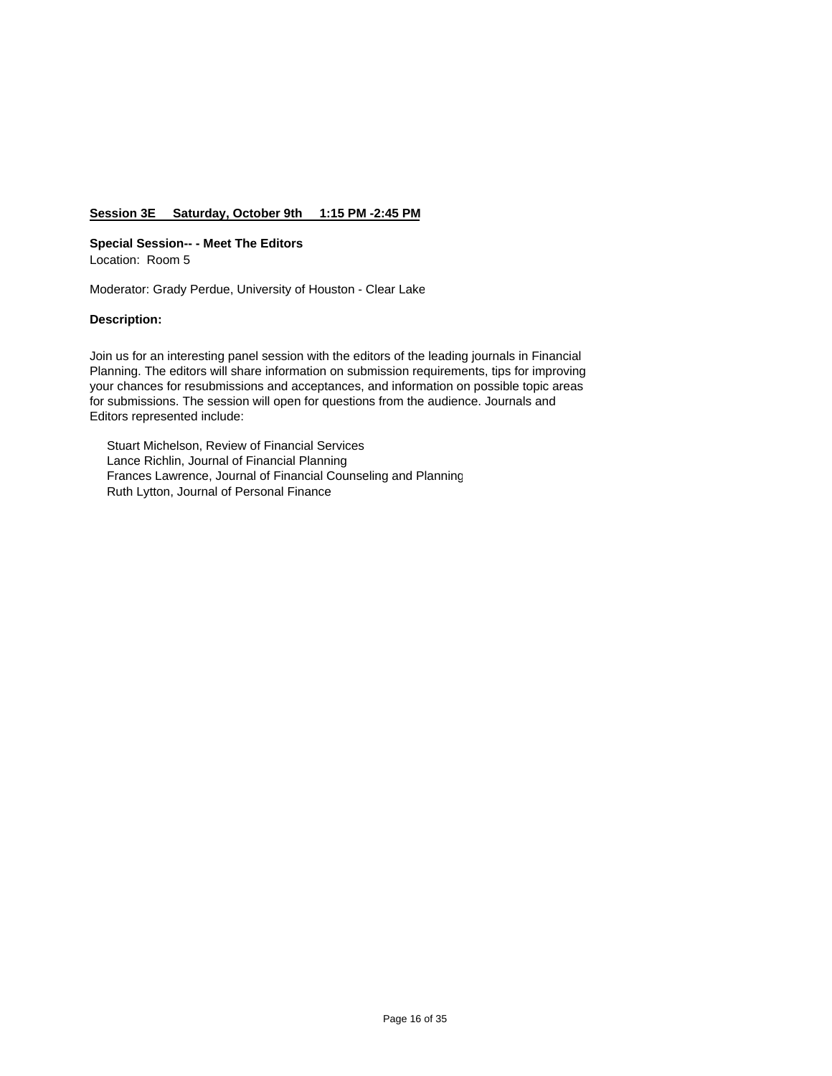# **Session 3E Saturday, October 9th 1:15 PM -2:45 PM**

#### **Special Session-- - Meet The Editors**

Location: Room 5

Moderator: Grady Perdue, University of Houston - Clear Lake

#### **Description:**

Join us for an interesting panel session with the editors of the leading journals in Financial Planning. The editors will share information on submission requirements, tips for improving your chances for resubmissions and acceptances, and information on possible topic areas for submissions. The session will open for questions from the audience. Journals and Editors represented include:

 Stuart Michelson, Review of Financial Services Lance Richlin, Journal of Financial Planning Frances Lawrence, Journal of Financial Counseling and Planning Ruth Lytton, Journal of Personal Finance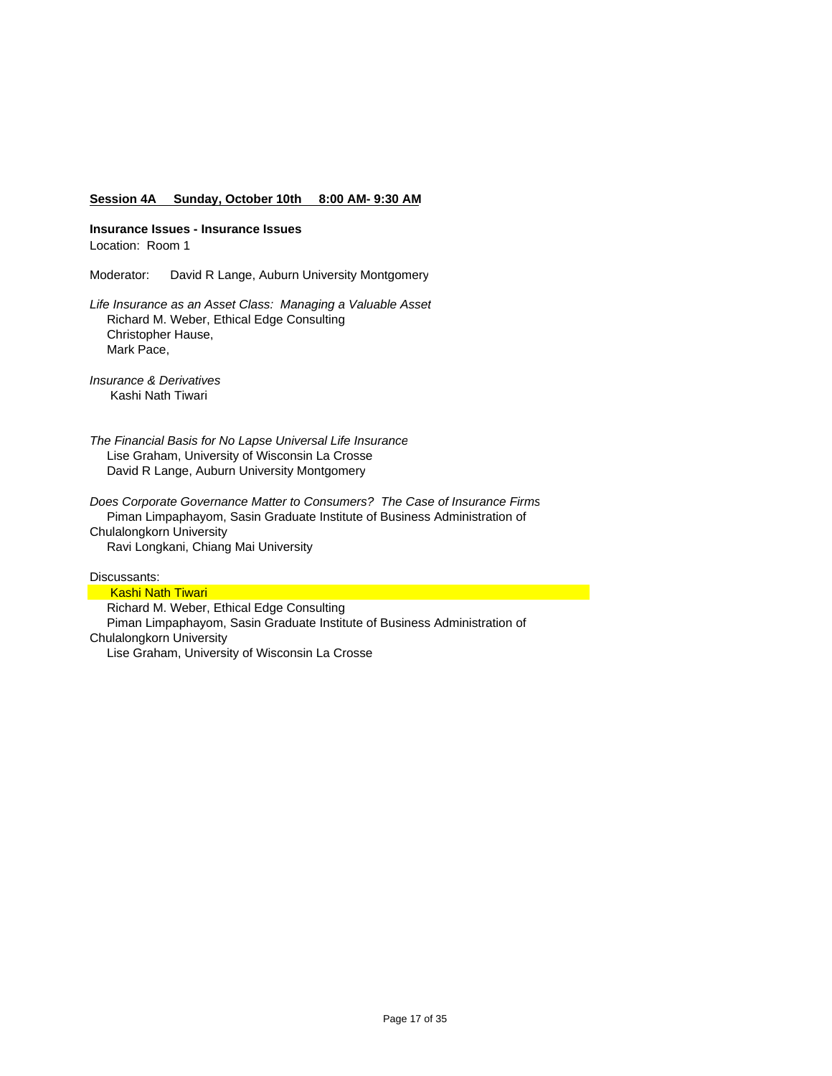#### **Session 4A Sunday, October 10th 8:00 AM- 9:30 AM**

**Insurance Issues - Insurance Issues**

Location: Room 1

Moderator: David R Lange, Auburn University Montgomery

*Life Insurance as an Asset Class: Managing a Valuable Asset* Richard M. Weber, Ethical Edge Consulting Christopher Hause, Mark Pace,

*Insurance & Derivatives* Kashi Nath Tiwari

*The Financial Basis for No Lapse Universal Life Insurance* Lise Graham, University of Wisconsin La Crosse David R Lange, Auburn University Montgomery

*Does Corporate Governance Matter to Consumers? The Case of Insurance Firms* Piman Limpaphayom, Sasin Graduate Institute of Business Administration of Chulalongkorn University Ravi Longkani, Chiang Mai University

Discussants:

**Kashi Nath Tiwari**  Richard M. Weber, Ethical Edge Consulting Piman Limpaphayom, Sasin Graduate Institute of Business Administration of Chulalongkorn University Lise Graham, University of Wisconsin La Crosse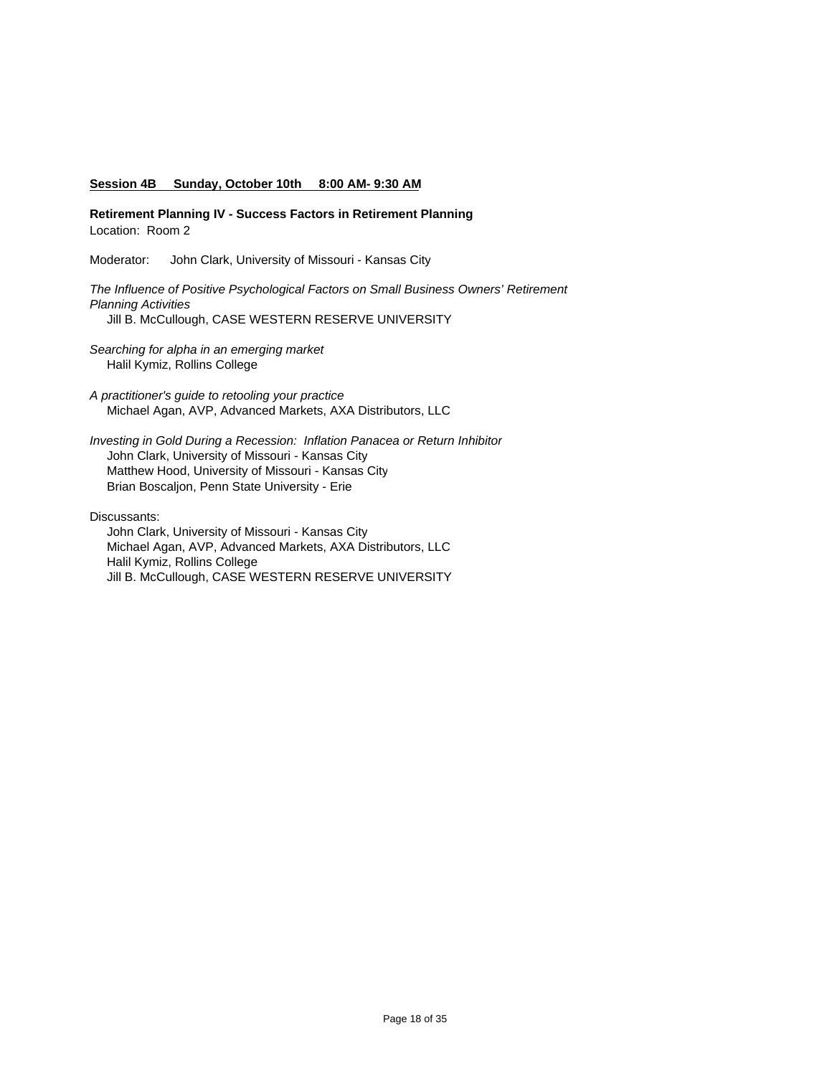#### **Session 4B Sunday, October 10th 8:00 AM- 9:30 AM**

**Retirement Planning IV - Success Factors in Retirement Planning** Location: Room 2

Moderator: John Clark, University of Missouri - Kansas City

*The Influence of Positive Psychological Factors on Small Business Owners' Retirement Planning Activities* Jill B. McCullough, CASE WESTERN RESERVE UNIVERSITY

*Searching for alpha in an emerging market*

Halil Kymiz, Rollins College

*A practitioner's guide to retooling your practice* Michael Agan, AVP, Advanced Markets, AXA Distributors, LLC

*Investing in Gold During a Recession: Inflation Panacea or Return Inhibitor* John Clark, University of Missouri - Kansas City Matthew Hood, University of Missouri - Kansas City Brian Boscaljon, Penn State University - Erie

Discussants:

 John Clark, University of Missouri - Kansas City Michael Agan, AVP, Advanced Markets, AXA Distributors, LLC Halil Kymiz, Rollins College Jill B. McCullough, CASE WESTERN RESERVE UNIVERSITY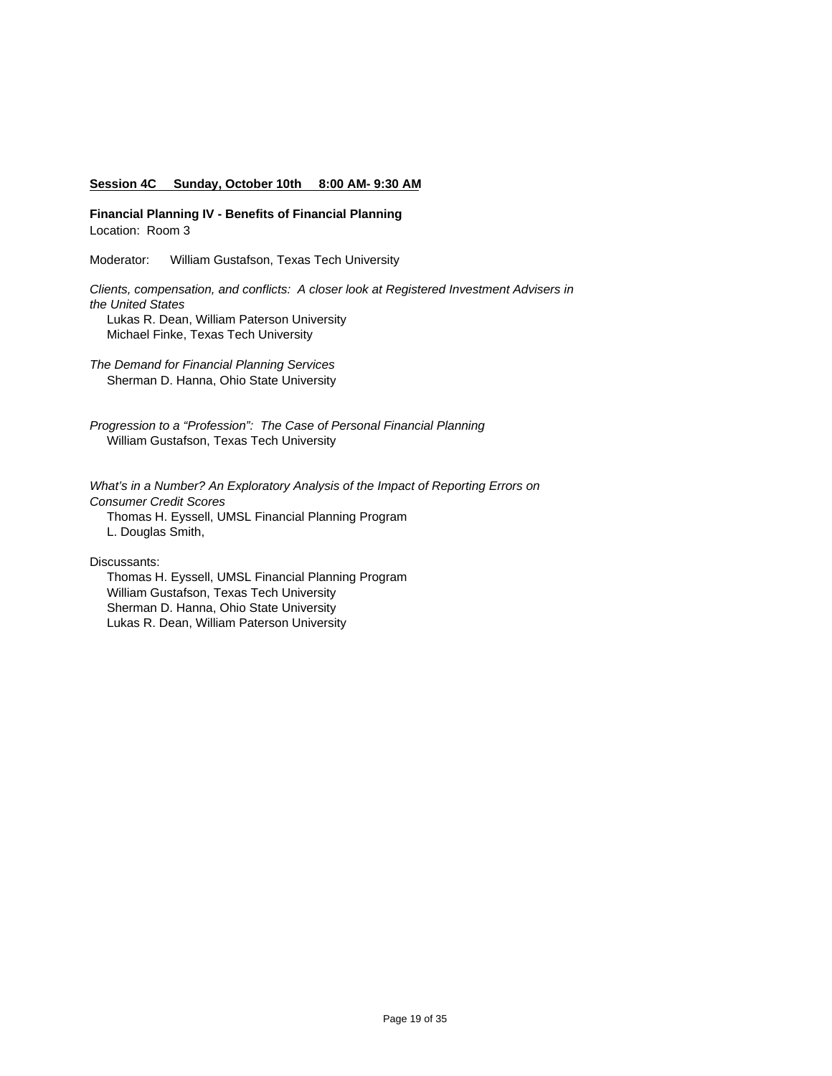#### **Session 4C Sunday, October 10th 8:00 AM- 9:30 AM**

**Financial Planning IV - Benefits of Financial Planning** Location: Room 3

Moderator: William Gustafson, Texas Tech University

*Clients, compensation, and conflicts: A closer look at Registered Investment Advisers in the United States* Lukas R. Dean, William Paterson University Michael Finke, Texas Tech University

*The Demand for Financial Planning Services*  Sherman D. Hanna, Ohio State University

*Progression to a "Profession": The Case of Personal Financial Planning* William Gustafson, Texas Tech University

*What's in a Number? An Exploratory Analysis of the Impact of Reporting Errors on Consumer Credit Scores* Thomas H. Eyssell, UMSL Financial Planning Program L. Douglas Smith,

Discussants:

 Thomas H. Eyssell, UMSL Financial Planning Program William Gustafson, Texas Tech University Sherman D. Hanna, Ohio State University Lukas R. Dean, William Paterson University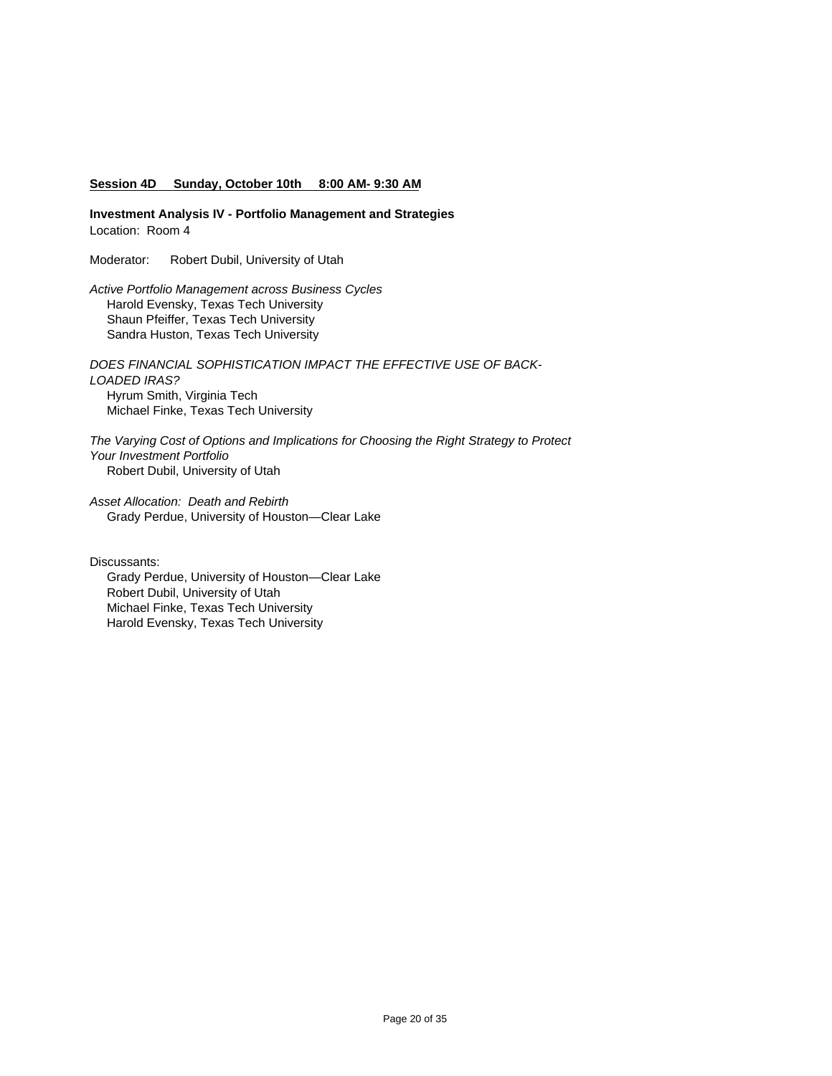#### **Session 4D Sunday, October 10th 8:00 AM- 9:30 AM**

**Investment Analysis IV - Portfolio Management and Strategies** Location: Room 4

Moderator: Robert Dubil, University of Utah

*Active Portfolio Management across Business Cycles* Harold Evensky, Texas Tech University Shaun Pfeiffer, Texas Tech University Sandra Huston, Texas Tech University

*DOES FINANCIAL SOPHISTICATION IMPACT THE EFFECTIVE USE OF BACK-LOADED IRAS?* Hyrum Smith, Virginia Tech Michael Finke, Texas Tech University

*The Varying Cost of Options and Implications for Choosing the Right Strategy to Protect Your Investment Portfolio*  Robert Dubil, University of Utah

*Asset Allocation: Death and Rebirth* Grady Perdue, University of Houston—Clear Lake

Discussants:

 Grady Perdue, University of Houston—Clear Lake Robert Dubil, University of Utah Michael Finke, Texas Tech University Harold Evensky, Texas Tech University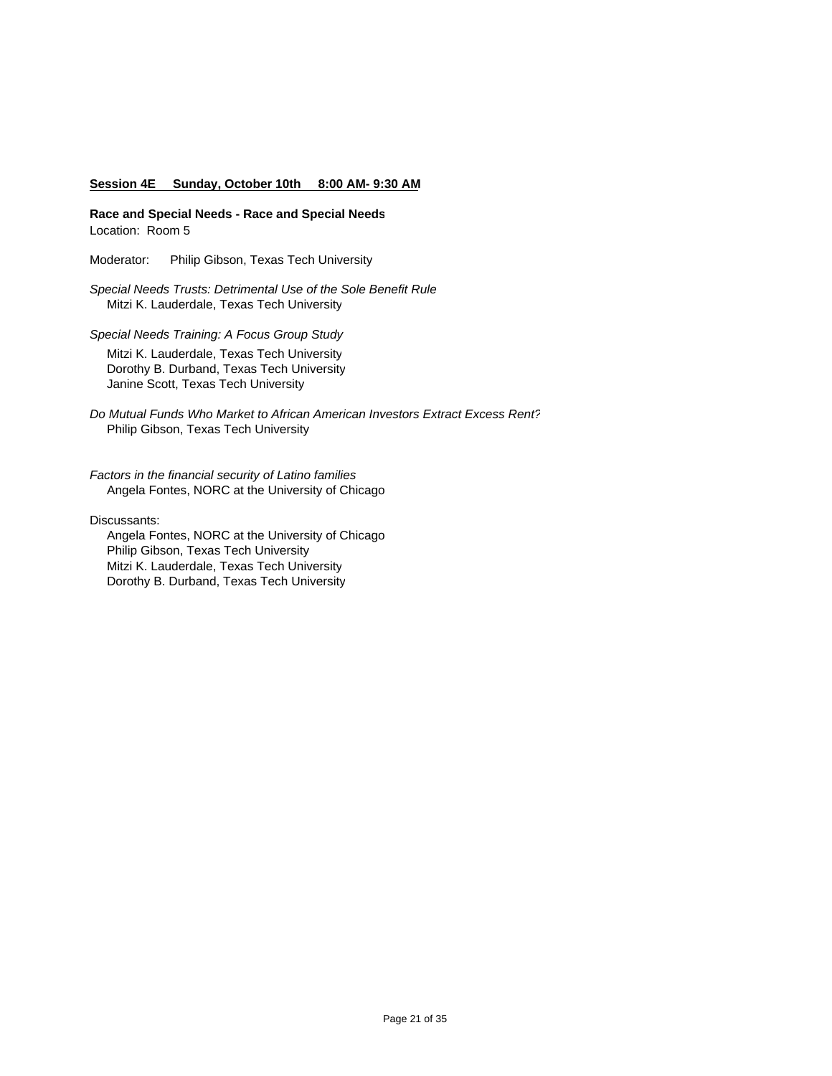#### **Session 4E Sunday, October 10th 8:00 AM- 9:30 AM**

**Race and Special Needs - Race and Special Needs** Location: Room 5

Moderator: Philip Gibson, Texas Tech University

*Special Needs Trusts: Detrimental Use of the Sole Benefit Rule* Mitzi K. Lauderdale, Texas Tech University

*Special Needs Training: A Focus Group Study* Mitzi K. Lauderdale, Texas Tech University Dorothy B. Durband, Texas Tech University Janine Scott, Texas Tech University

*Do Mutual Funds Who Market to African American Investors Extract Excess Rent?* Philip Gibson, Texas Tech University

*Factors in the financial security of Latino families* Angela Fontes, NORC at the University of Chicago

Discussants:

 Angela Fontes, NORC at the University of Chicago Philip Gibson, Texas Tech University Mitzi K. Lauderdale, Texas Tech University Dorothy B. Durband, Texas Tech University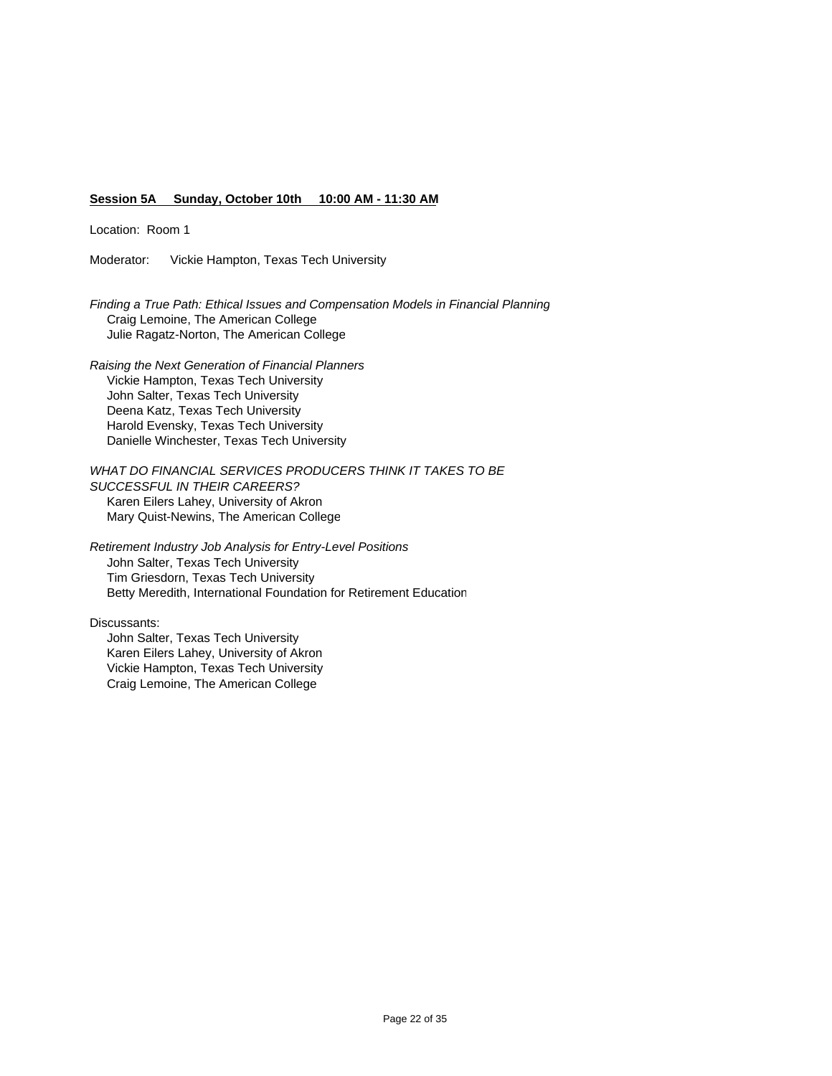### **Session 5A Sunday, October 10th 10:00 AM - 11:30 AM**

Location: Room 1

Moderator: Vickie Hampton, Texas Tech University

*Finding a True Path: Ethical Issues and Compensation Models in Financial Planning* Craig Lemoine, The American College Julie Ragatz-Norton, The American College

*Raising the Next Generation of Financial Planners* Vickie Hampton, Texas Tech University John Salter, Texas Tech University Deena Katz, Texas Tech University Harold Evensky, Texas Tech University Danielle Winchester, Texas Tech University

*WHAT DO FINANCIAL SERVICES PRODUCERS THINK IT TAKES TO BE SUCCESSFUL IN THEIR CAREERS?*  Karen Eilers Lahey, University of Akron Mary Quist-Newins, The American College

*Retirement Industry Job Analysis for Entry-Level Positions* John Salter, Texas Tech University Tim Griesdorn, Texas Tech University Betty Meredith, International Foundation for Retirement Education

Discussants:

 John Salter, Texas Tech University Karen Eilers Lahey, University of Akron Vickie Hampton, Texas Tech University Craig Lemoine, The American College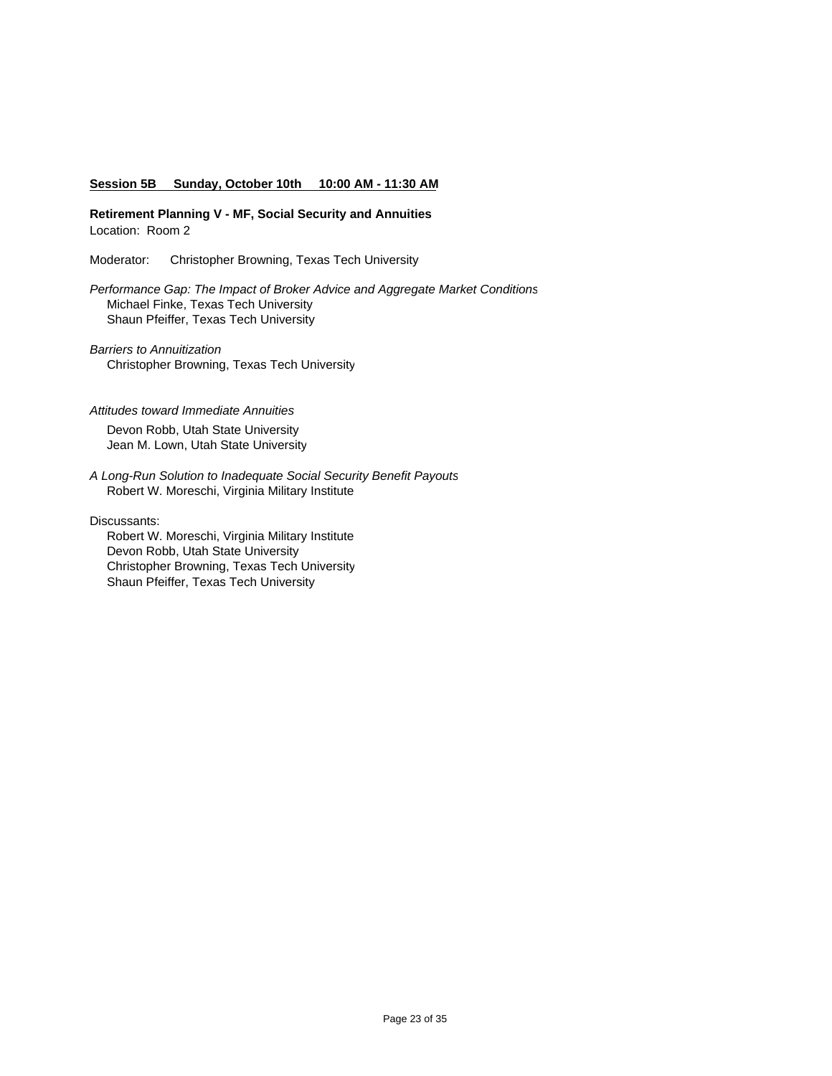#### **Session 5B Sunday, October 10th 10:00 AM - 11:30 AM**

**Retirement Planning V - MF, Social Security and Annuities** Location: Room 2

Moderator: Christopher Browning, Texas Tech University

*Performance Gap: The Impact of Broker Advice and Aggregate Market Conditions* Michael Finke, Texas Tech University Shaun Pfeiffer, Texas Tech University

*Barriers to Annuitization* Christopher Browning, Texas Tech University

#### *Attitudes toward Immediate Annuities*

 Devon Robb, Utah State University Jean M. Lown, Utah State University

*A Long-Run Solution to Inadequate Social Security Benefit Payouts* Robert W. Moreschi, Virginia Military Institute

Discussants:

 Robert W. Moreschi, Virginia Military Institute Devon Robb, Utah State University Christopher Browning, Texas Tech University Shaun Pfeiffer, Texas Tech University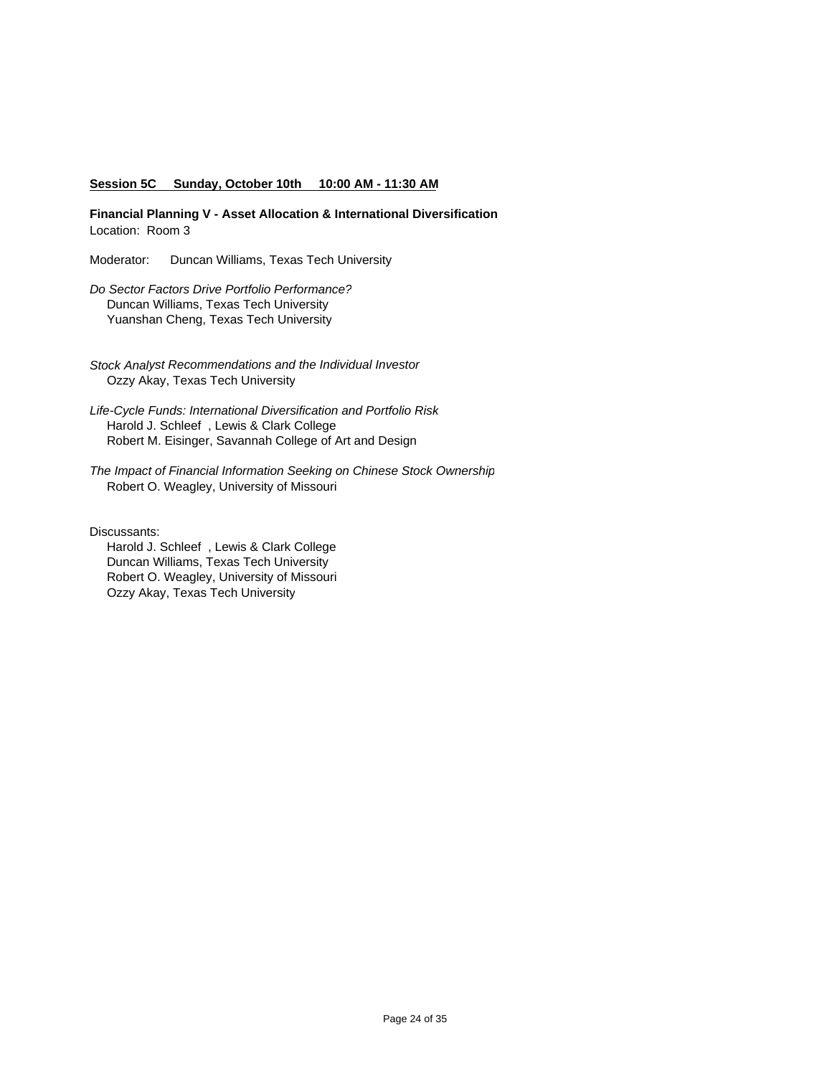#### **Session 5C Sunday, October 10th 10:00 AM - 11:30 AM**

**Financial Planning V - Asset Allocation & International Diversification** Location: Room 3

Moderator: Duncan Williams, Texas Tech University

*Do Sector Factors Drive Portfolio Performance?* Duncan Williams, Texas Tech University Yuanshan Cheng, Texas Tech University

*Stock Analyst Recommendations and the Individual Investor*  Ozzy Akay, Texas Tech University

*Life-Cycle Funds: International Diversification and Portfolio Risk* Harold J. Schleef , Lewis & Clark College Robert M. Eisinger, Savannah College of Art and Design

*The Impact of Financial Information Seeking on Chinese Stock Ownership* Robert O. Weagley, University of Missouri

Discussants:

 Harold J. Schleef , Lewis & Clark College Duncan Williams, Texas Tech University Robert O. Weagley, University of Missouri Ozzy Akay, Texas Tech University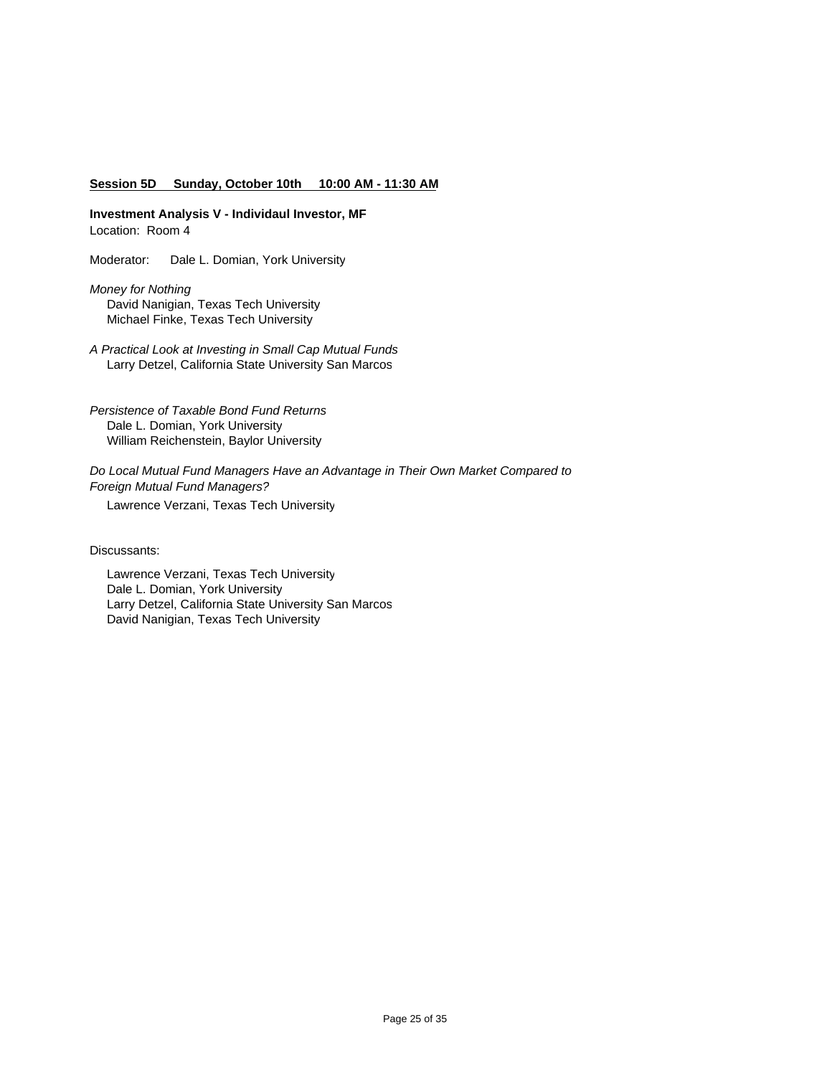#### **Session 5D Sunday, October 10th 10:00 AM - 11:30 AM**

**Investment Analysis V - Individaul Investor, MF** Location: Room 4

Moderator: Dale L. Domian, York University

*Money for Nothing* David Nanigian, Texas Tech University Michael Finke, Texas Tech University

*A Practical Look at Investing in Small Cap Mutual Funds* Larry Detzel, California State University San Marcos

*Persistence of Taxable Bond Fund Returns* Dale L. Domian, York University William Reichenstein, Baylor University

*Do Local Mutual Fund Managers Have an Advantage in Their Own Market Compared to Foreign Mutual Fund Managers?* Lawrence Verzani, Texas Tech University

Discussants:

 Lawrence Verzani, Texas Tech University Dale L. Domian, York University Larry Detzel, California State University San Marcos David Nanigian, Texas Tech University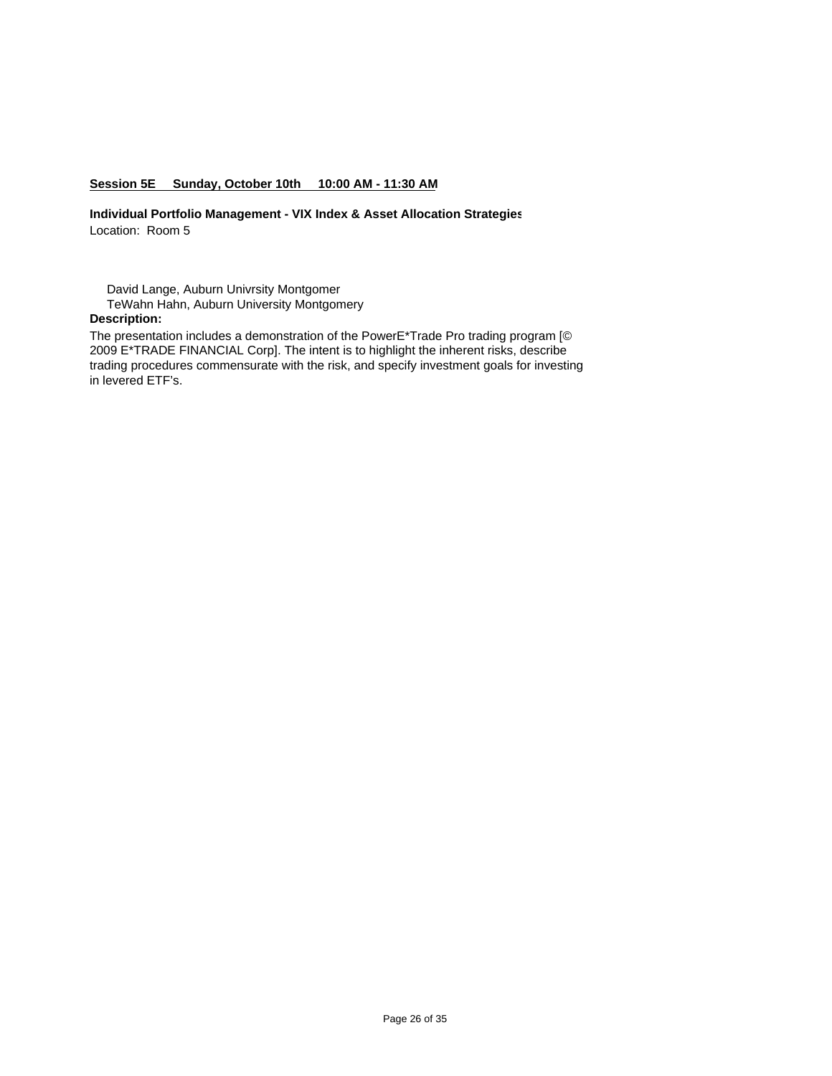# **Session 5E Sunday, October 10th 10:00 AM - 11:30 AM**

**Individual Portfolio Management - VIX Index & Asset Allocation Strategies** Location: Room 5

David Lange, Auburn Univrsity Montgomer

TeWahn Hahn, Auburn University Montgomery

# **Description:**

The presentation includes a demonstration of the PowerE\*Trade Pro trading program [© 2009 E\*TRADE FINANCIAL Corp]. The intent is to highlight the inherent risks, describe trading procedures commensurate with the risk, and specify investment goals for investing in levered ETF's.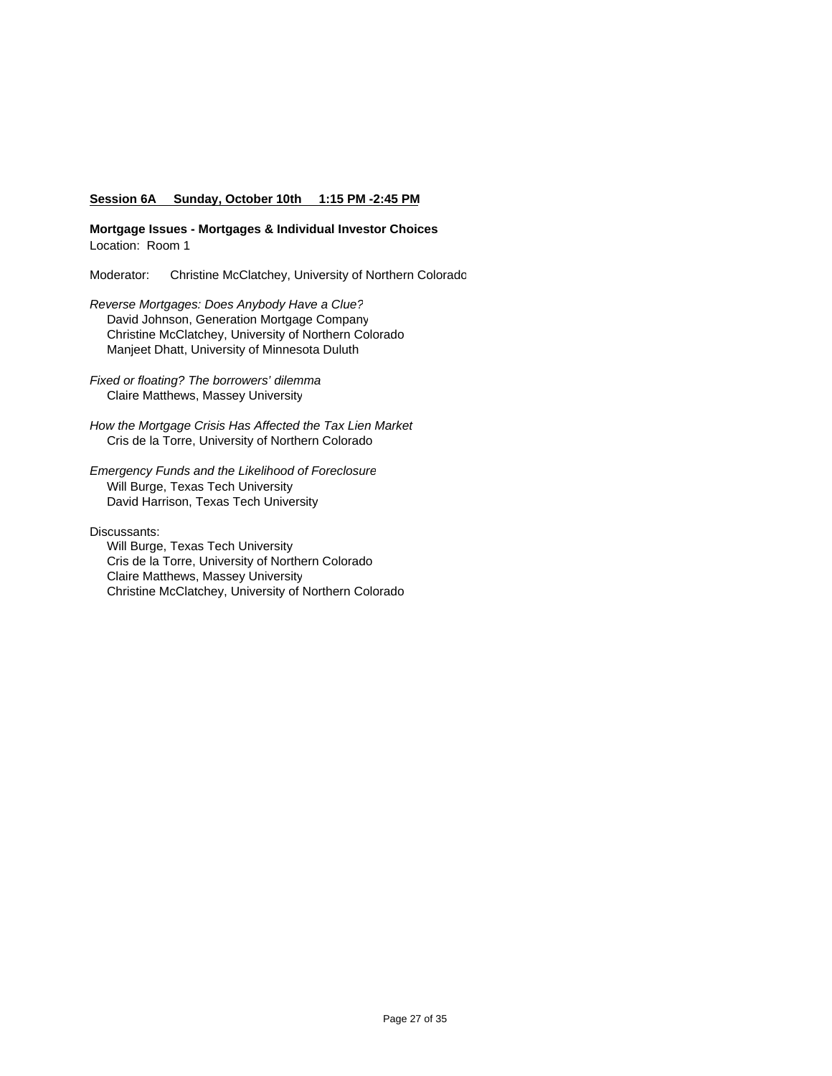### **Session 6A Sunday, October 10th 1:15 PM -2:45 PM**

**Mortgage Issues - Mortgages & Individual Investor Choices** Location: Room 1

Moderator: Christine McClatchey, University of Northern Colorado

- *Reverse Mortgages: Does Anybody Have a Clue?* David Johnson, Generation Mortgage Company Christine McClatchey, University of Northern Colorado Manjeet Dhatt, University of Minnesota Duluth
- *Fixed or floating? The borrowers' dilemma* Claire Matthews, Massey University
- *How the Mortgage Crisis Has Affected the Tax Lien Market*  Cris de la Torre, University of Northern Colorado
- *Emergency Funds and the Likelihood of Foreclosure* Will Burge, Texas Tech University David Harrison, Texas Tech University

Discussants:

 Will Burge, Texas Tech University Cris de la Torre, University of Northern Colorado Claire Matthews, Massey University Christine McClatchey, University of Northern Colorado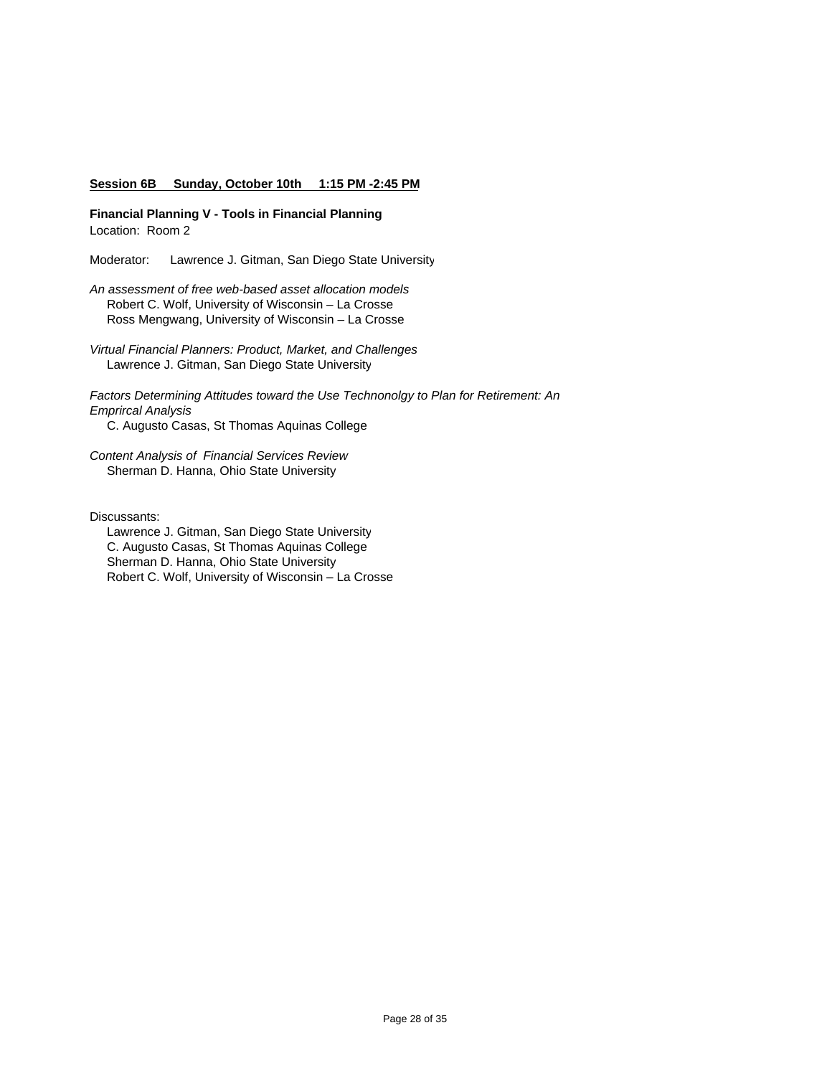#### **Session 6B Sunday, October 10th 1:15 PM -2:45 PM**

**Financial Planning V - Tools in Financial Planning** Location: Room 2

Moderator: Lawrence J. Gitman, San Diego State University

*An assessment of free web-based asset allocation models* Robert C. Wolf, University of Wisconsin – La Crosse Ross Mengwang, University of Wisconsin – La Crosse

*Virtual Financial Planners: Product, Market, and Challenges* Lawrence J. Gitman, San Diego State University

*Factors Determining Attitudes toward the Use Technonolgy to Plan for Retirement: An Emprircal Analysis* C. Augusto Casas, St Thomas Aquinas College

*Content Analysis of Financial Services Review* Sherman D. Hanna, Ohio State University

Discussants:

 Lawrence J. Gitman, San Diego State University C. Augusto Casas, St Thomas Aquinas College Sherman D. Hanna, Ohio State University Robert C. Wolf, University of Wisconsin – La Crosse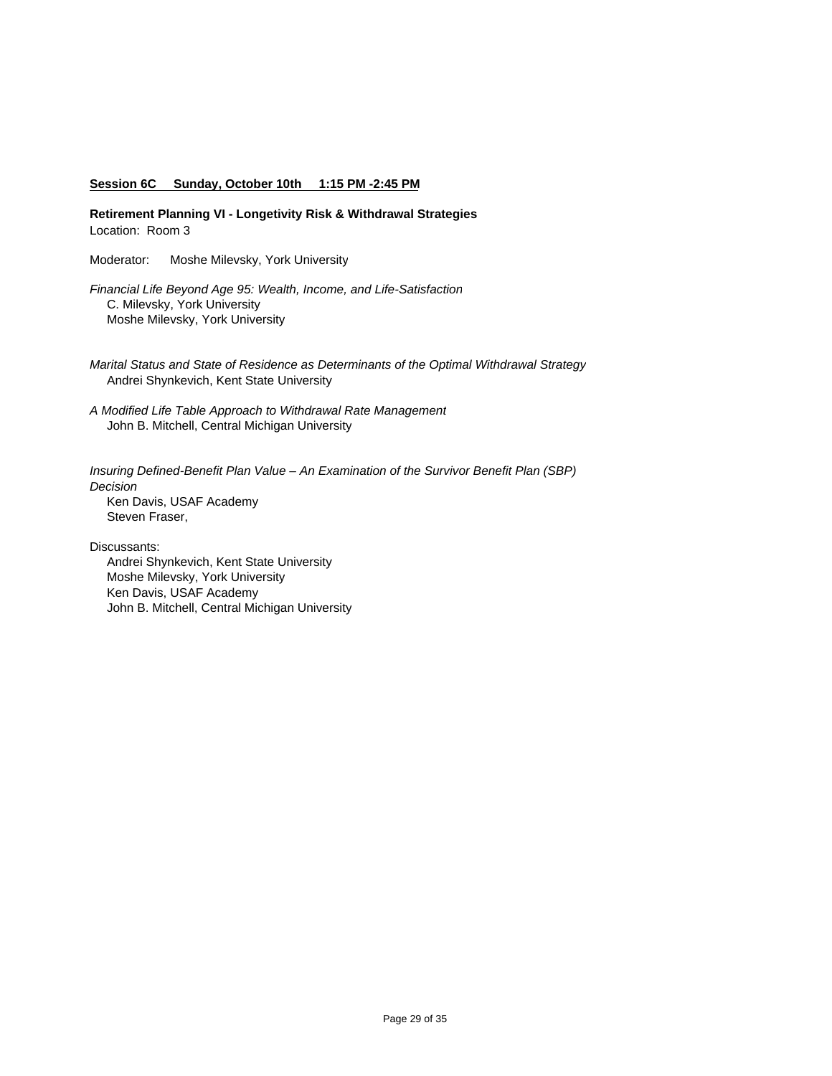#### **Session 6C Sunday, October 10th 1:15 PM -2:45 PM**

**Retirement Planning VI - Longetivity Risk & Withdrawal Strategies** Location: Room 3

Moderator: Moshe Milevsky, York University

*Financial Life Beyond Age 95: Wealth, Income, and Life-Satisfaction* C. Milevsky, York University Moshe Milevsky, York University

- *Marital Status and State of Residence as Determinants of the Optimal Withdrawal Strategy* Andrei Shynkevich, Kent State University
- *A Modified Life Table Approach to Withdrawal Rate Management* John B. Mitchell, Central Michigan University

*Insuring Defined-Benefit Plan Value – An Examination of the Survivor Benefit Plan (SBP) Decision* Ken Davis, USAF Academy Steven Fraser,

Discussants:

 Andrei Shynkevich, Kent State University Moshe Milevsky, York University Ken Davis, USAF Academy John B. Mitchell, Central Michigan University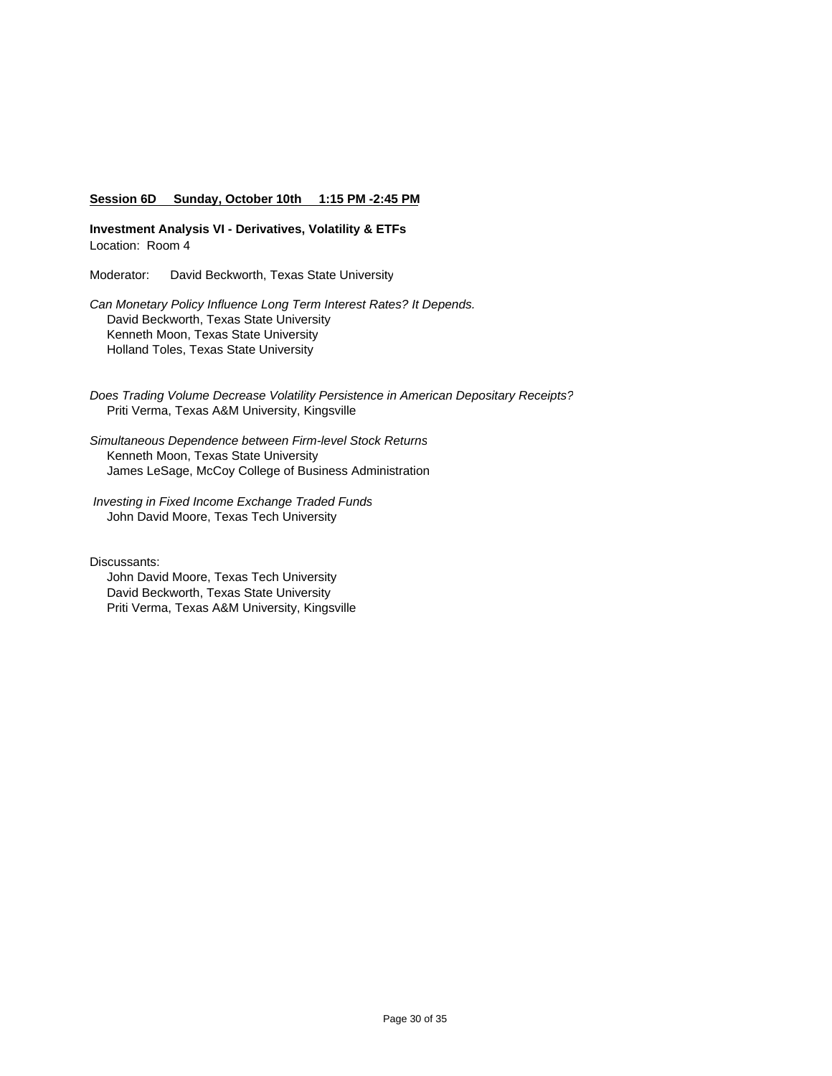### **Session 6D Sunday, October 10th 1:15 PM -2:45 PM**

**Investment Analysis VI - Derivatives, Volatility & ETFs**  Location: Room 4

Moderator: David Beckworth, Texas State University

*Can Monetary Policy Influence Long Term Interest Rates? It Depends.* David Beckworth, Texas State University Kenneth Moon, Texas State University Holland Toles, Texas State University

*Does Trading Volume Decrease Volatility Persistence in American Depositary Receipts?* Priti Verma, Texas A&M University, Kingsville

*Simultaneous Dependence between Firm-level Stock Returns* Kenneth Moon, Texas State University James LeSage, McCoy College of Business Administration

 *Investing in Fixed Income Exchange Traded Funds* John David Moore, Texas Tech University

Discussants:

 John David Moore, Texas Tech University David Beckworth, Texas State University Priti Verma, Texas A&M University, Kingsville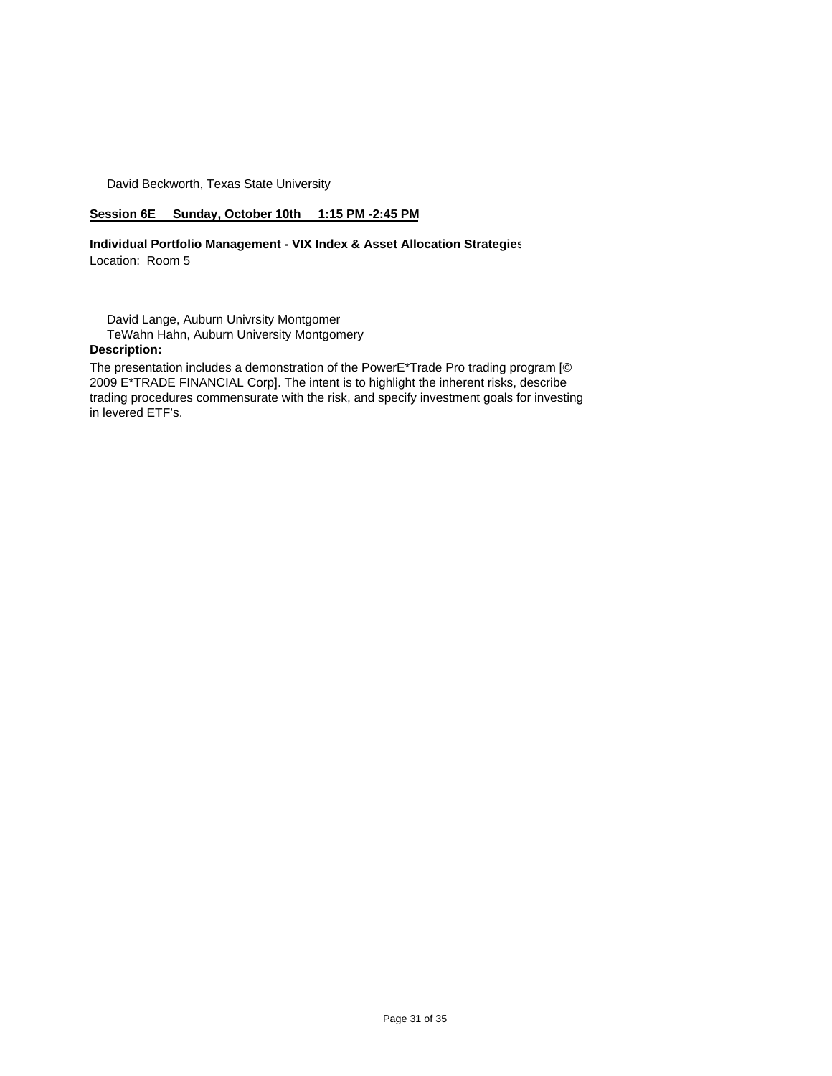David Beckworth, Texas State University

## **Session 6E Sunday, October 10th 1:15 PM -2:45 PM**

**Individual Portfolio Management - VIX Index & Asset Allocation Strategies** Location: Room 5

 David Lange, Auburn Univrsity Montgomer TeWahn Hahn, Auburn University Montgomery

# **Description:**

The presentation includes a demonstration of the PowerE\*Trade Pro trading program [© 2009 E\*TRADE FINANCIAL Corp]. The intent is to highlight the inherent risks, describe trading procedures commensurate with the risk, and specify investment goals for investing in levered ETF's.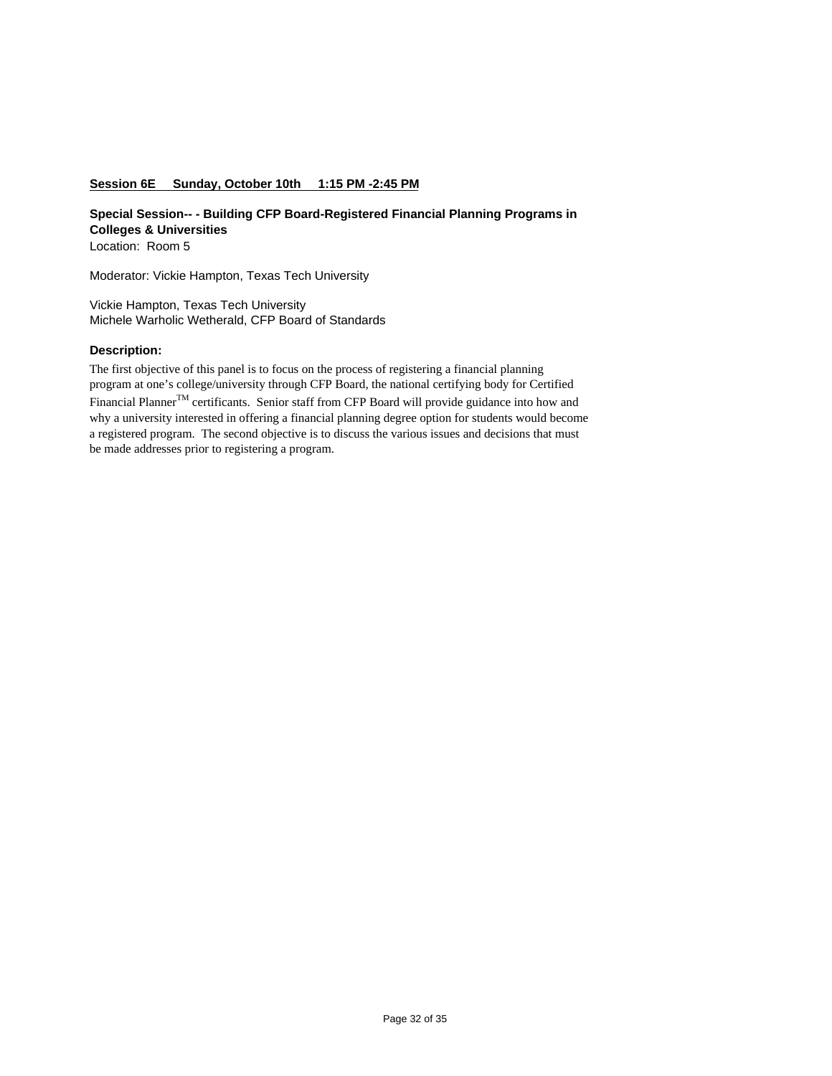### **Session 6E Sunday, October 10th 1:15 PM -2:45 PM**

**Special Session-- - Building CFP Board-Registered Financial Planning Programs in Colleges & Universities** Location: Room 5

Moderator: Vickie Hampton, Texas Tech University

Vickie Hampton, Texas Tech University Michele Warholic Wetherald, CFP Board of Standards

### **Description:**

The first objective of this panel is to focus on the process of registering a financial planning program at one's college/university through CFP Board, the national certifying body for Certified Financial Planner<sup>TM</sup> certificants. Senior staff from CFP Board will provide guidance into how and why a university interested in offering a financial planning degree option for students would become a registered program. The second objective is to discuss the various issues and decisions that must be made addresses prior to registering a program.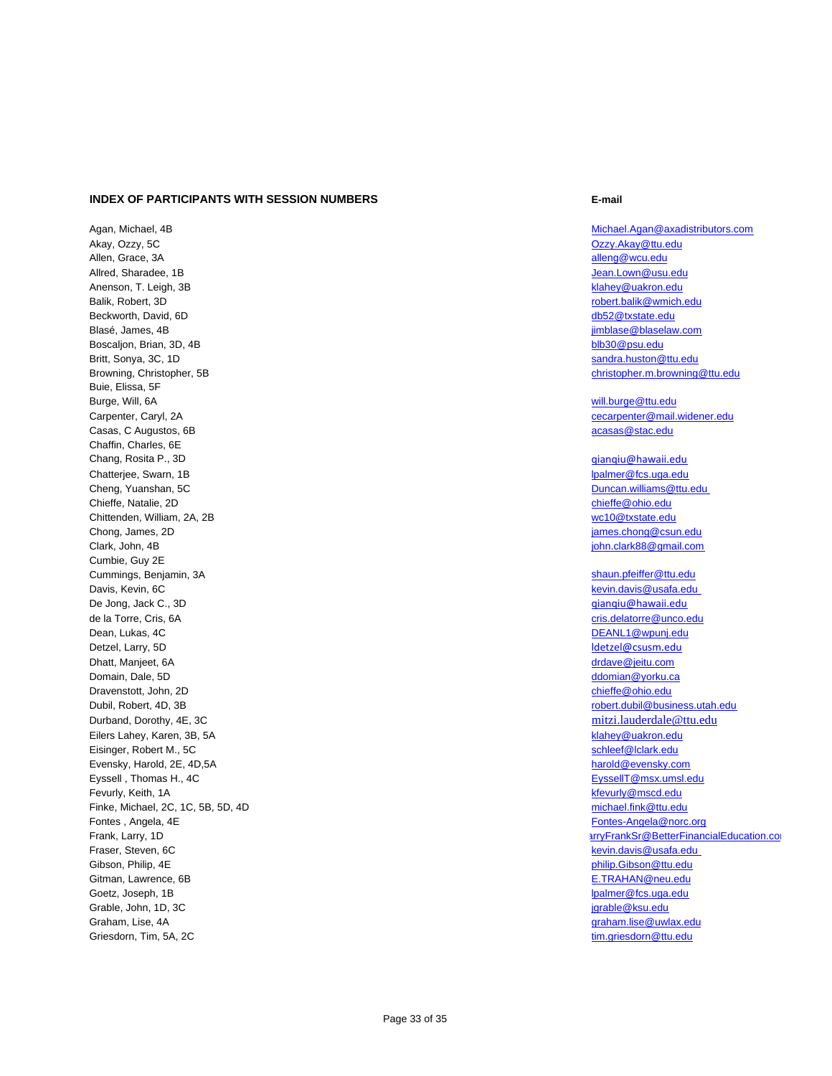#### **INDEX OF PARTICIPANTS WITH SESSION NUMBERS E-mail**

Agan, Michael, 4B Michael.Agan@axadistributors.com Akay, Ozzy, 5C Ozzy.Akay@ttu.edu Allen, Grace, 3A alleng@wcu.edu allred, Sharadee, 1B and the studies of the studies of the studies of the studies of the studies of the studies of the studies of the studies of the studies of the studies of the studies of the studies of the studies of th Anenson, T. Leigh, 3B klahey@uakron.edu Balik, Robert, 3D robert.balik@wmich.edu Beckworth, David, 6D db52@txstate.edu Blasé, James, 4B jimblase@blaselaw.com Boscaljon, Brian, 3D, 4B blb30@psu.edu blb30@psu.edu blb30@psu.edu blb30@psu.edu Britt, Sonya, 3C, 1D sandra.huston@ttu.edu Browning, Christopher, 5B christopher, 5B christopher, m.browning@ttu.edu Buie, Elissa, 5F Burge, Will, 6A will.burge@ttu.edu Carpenter, Caryl, 2A cecarpenter@mail.widener.edu Casas, C Augustos, 6B acasas@stac.edu Chaffin, Charles, 6E Chang, Rosita P., 3D qianqiu@hawaii.edu Chatteriee, Swarn, 1B lpalmer@fcs.uga.edu Cheng, Yuanshan, 5C Duncan.williams@ttu.edu Chieffe, Natalie, 2D chieffe@ohio.edu Chittenden, William, 2A, 2B wc10@txstate.edu Chong, James, 2D james.chong@csun.edu Clark, John, 4B john.clark88@gmail.com Cumbie, Guy 2E Cummings, Benjamin, 3A shaun.pfeiffer@ttu.edu.com Davis, Kevin, 6C kevin.davis@usafa.edu De Jong, Jack C., 3D qianqiu@hawaii.edu de la Torre, Cris, 6A criste de la Torre, Cris, 6A criste de la Torre, Cris.delatorre@unco.edu Dean, Lukas, 4C DEANL1@wpunj.edu Detzel, Larry, 5D ldetzel@csusm.edu **Dhatt, Manjeet, 6A** dramatic community of the community of the community of the community of the community of the community of the community of the community of the community of the community of the community of the commu Domain, Dale, 5D domian@yorku.ca Dravenstott, John, 2D chieffe@ohio.edu Dubil, Robert, 4D, 3B robert.dubil@business.utah.edu Durband, Dorothy, 4E, 3C mitzi.lauderdale@ttu.edu Eilers Lahey, Karen, 3B, 5A klahey@uakron.edu Eisinger, Robert M., 5C schleef@lclark.edu Evensky, Harold, 2E, 4D,5A harold@evensky.com hardd@evensky.com Eyssell , Thomas H., 4C Eyssell T Control of the Eyssell T Construction of the Eyssell T Construction of the Eyssell T Construction of the Eyssell T Construction of the Eyssell T Construction of the Eyssell T Construction Fevurly, Keith, 1A kfevurly@mscd.edu Finke, Michael, 2C, 1C, 5B, 5D, 4D michael.fink@ttu.edu Fontes , Angela, 4E Fontes-Angela@norc.org and the state of the state of the state of the state of the state of the state of the state of the state of the state of the state of the state of the state of the state of the st Fraser, Steven, 6C kevin.davis@usafa.edu Gibson, Philip, 4E philip.Gibson@ttu.edu Gitman, Lawrence, 6B E.TRAHAN@neu.edu Goetz, Joseph, 1B lpalmer@fcs.uga.edu Grable, John, 1D, 3C is a state of the state of the state of the state of the state of the state of the state of the state of the state of the state of the state of the state of the state of the state of the state of the s Graham, Lise, 4A graham.lise@uwlax.edu

Frank, Larry, 1D and the state of the state of the state of the state of the state of the state of the state of the state of the state of the state of the state of the state of the state of the state of the state of the st Griesdorn, Tim, 5A, 2C times and the control of the control of the control of the control of the control of the control of the control of the control of the control of the control of the control of the control of the contr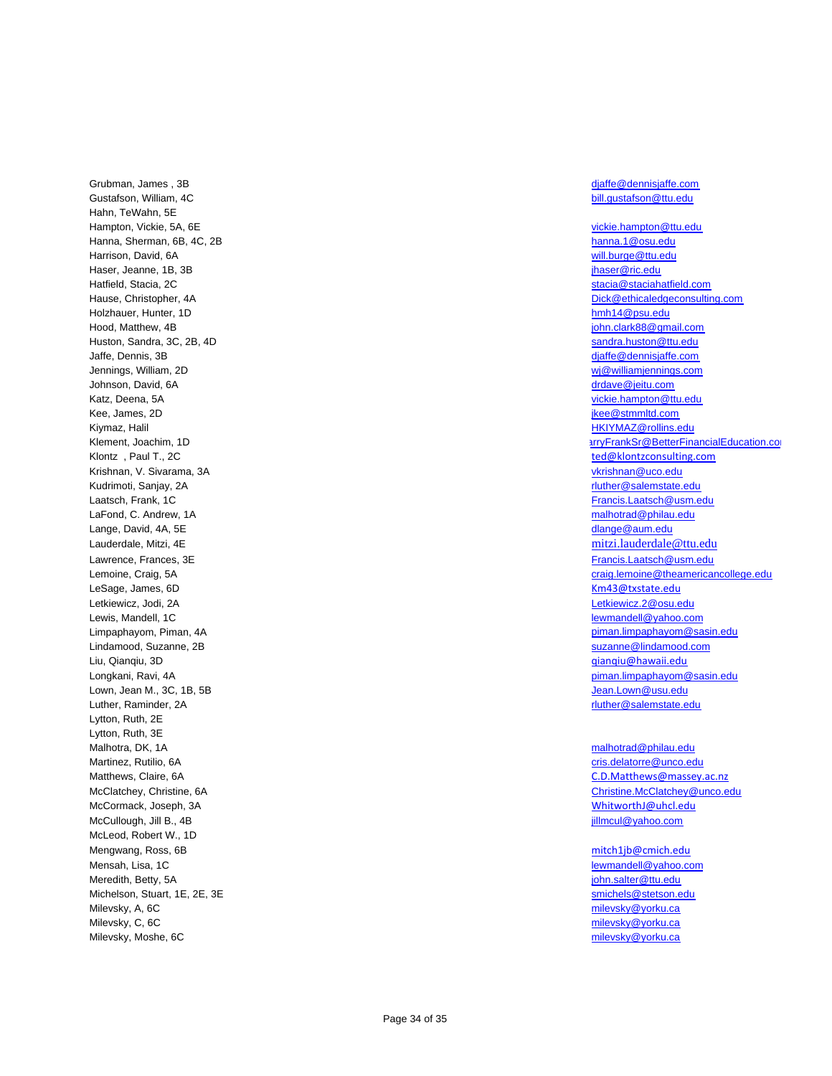Grubman, James , 3B djaffe@dennisjaffe.com Gustafson, William, 4C<br>
Gustafson, William, 4C Hahn, TeWahn, 5E Hampton, Vickie, 5A, 6E vickie.hampton@ttu.edu Hanna, Sherman, 6B, 4C, 2B hanna.1@osu.edu hanna.1@osu.edu hanna.1@osu.edu Harrison, David, 6A will.burge@ttu.edu Haser, Jeanne, 1B, 3B jhaser@ric.edu Hatfield, Stacia, 2C stacia@staciahatfield.com Holzhauer, Hunter, 1D **hmh14@psu.edu** Hood, Matthew, 4B john.clark88@gmail.com Huston, Sandra, 3C, 2B, 4D sandra.huston@ttu.edu Jaffe, Dennis, 3B djaffe@dennisjaffe.com Jennings, William, 2D wj@williamjennings.com Johnson, David, 6A drdave@jeitu.com Katz, Deena, 5A vickie.hampton@ttu.edu Kee, James, 2D jkee@stmmltd.com Kiymaz, Halil HKIYMAZ@rollins.edu Klement, Joachim, 1D Klontz , Paul T., 2C ted@klontzconsulting.com Krishnan, V. Sivarama, 3A vkrishnan, 2008, 2009, 2009, 2009, 2009, 2009, 2009, 2009, 2009, 2009, 2009, 2009, 200 Kudrimoti, Sanjay, 2A regional state of the state of the state of the state of the state of the state of the state of the state of the state of the state of the state of the state of the state of the state of the state of Laatsch, Frank, 1C Francis.Laatsch@usm.edu LaFond, C. Andrew, 1A malhotrad@philau.edu and the control of the control of the control of the control of the control of the control of the control of the control of the control of the control of the control of the contro Lange, David, 4A, 5E dlange@aum.edu Lauderdale, Mitzi, 4E mitzi.lauderdale@ttu.edu Lawrence, Frances, 3E Francis.Laatsch@usm.edu LeSage, James, 6D **Km43@txstate.edu** Letkiewicz, Jodi, 2A Letkiewicz.2@osu.edu Lewis, Mandell, 1C lewis, Mandell, 1C lewis, Mandell @yahoo.com Lindamood, Suzanne, 2B suzanne, 2B suzanne @lindamood.com Liu, Qianqiu, 3D qianqiu@hawaii.edu Lown, Jean M., 3C, 1B, 5B Jean.Lown@usu.edu Luther, Raminder, 2A research and the studies of the studies of the studies of the studies of the studies of the studies of the studies of the studies of the studies of the studies of the studies of the studies of the stud Lytton, Ruth, 2E Lytton, Ruth, 3E Malhotra, DK, 1A malhotrad@philau.edu Martinez, Rutilio, 6A cris.delatorre@unco.edu Matthews, Claire, 6A Contract and the contract of the contract of the contract of the C.D.Matthews@massey.ac.nz McCormack, Joseph, 3A WhitworthJ@uhcl.edu McCullough, Jill B., 4B jillmcul@yahoo.com McLeod, Robert W., 1D Mengwang, Ross, 6B mitch1jb@cmich.edu Mensah, Lisa, 1C lewmandell@yahoo.com Meredith, Betty, 5A is a state of the state of the state of the state of the state of the state of the state of the state of the state of the state of the state of the state of the state of the state of the state of the st Michelson, Stuart, 1E, 2E, 3E smichels@stetson.edu Milevsky, A, 6C milevsky@yorku.ca Milevsky, C, 6C milevsky@yorku.ca Milevsky, Moshe, 6C and the state of the state of the state of the state of the state of the state of the state of the state of the state of the state of the state of the state of the state of the state of the state of the

Hause, Christopher, 4A Dick@ethicaledgeconsulting.com arryFrankSr@BetterFinancialEducation.co Lemoine, Craig, 5A craig.lemoine @theamericancollege.edu Limpaphayom, Piman, 4A piman.limpaphayom@sasin.edu Longkani, Ravi, 4A piman.limpaphayom@sasin.edu

McClatchey, Christine, 6A Christine, 6A Christine.McClatchey@unco.edu